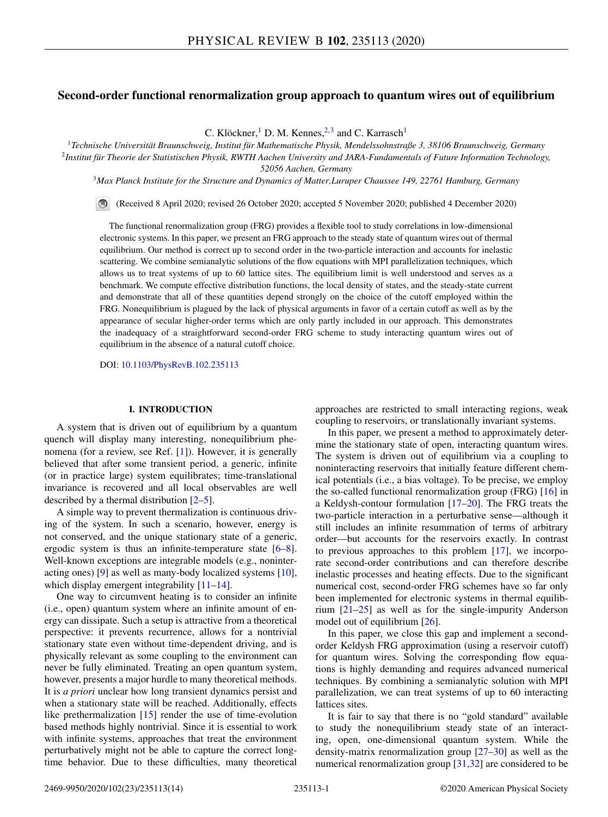# **Second-order functional renormalization group approach to quantum wires out of equilibrium**

C. Klöckner, <sup>1</sup> D. M. Kennes, <sup>2, 3</sup> and C. Karrasch<sup>1</sup>

<sup>1</sup>*Technische Universität Braunschweig, Institut für Mathematische Physik, Mendelssohnstraße 3, 38106 Braunschweig, Germany* <sup>2</sup>*Institut für Theorie der Statistischen Physik, RWTH Aachen University and JARA-Fundamentals of Future Information Technology, 52056 Aachen, Germany*

<sup>3</sup>*Max Planck Institute for the Structure and Dynamics of Matter,Luruper Chaussee 149, 22761 Hamburg, Germany*

(Received 8 April 2020; revised 26 October 2020; accepted 5 November 2020; published 4 December 2020)

The functional renormalization group (FRG) provides a flexible tool to study correlations in low-dimensional electronic systems. In this paper, we present an FRG approach to the steady state of quantum wires out of thermal equilibrium. Our method is correct up to second order in the two-particle interaction and accounts for inelastic scattering. We combine semianalytic solutions of the flow equations with MPI parallelization techniques, which allows us to treat systems of up to 60 lattice sites. The equilibrium limit is well understood and serves as a benchmark. We compute effective distribution functions, the local density of states, and the steady-state current and demonstrate that all of these quantities depend strongly on the choice of the cutoff employed within the FRG. Nonequilibrium is plagued by the lack of physical arguments in favor of a certain cutoff as well as by the appearance of secular higher-order terms which are only partly included in our approach. This demonstrates the inadequacy of a straightforward second-order FRG scheme to study interacting quantum wires out of equilibrium in the absence of a natural cutoff choice.

DOI: [10.1103/PhysRevB.102.235113](https://doi.org/10.1103/PhysRevB.102.235113)

# **I. INTRODUCTION**

A system that is driven out of equilibrium by a quantum quench will display many interesting, nonequilibrium phenomena (for a review, see Ref. [\[1\]](#page-12-0)). However, it is generally believed that after some transient period, a generic, infinite (or in practice large) system equilibrates; time-translational invariance is recovered and all local observables are well described by a thermal distribution [\[2–5\]](#page-12-0).

A simple way to prevent thermalization is continuous driving of the system. In such a scenario, however, energy is not conserved, and the unique stationary state of a generic, ergodic system is thus an infinite-temperature state [\[6–8\]](#page-12-0). Well-known exceptions are integrable models (e.g., noninteracting ones) [\[9\]](#page-12-0) as well as many-body localized systems [\[10\]](#page-12-0), which display emergent integrability [\[11–14\]](#page-12-0).

One way to circumvent heating is to consider an infinite (i.e., open) quantum system where an infinite amount of energy can dissipate. Such a setup is attractive from a theoretical perspective: it prevents recurrence, allows for a nontrivial stationary state even without time-dependent driving, and is physically relevant as some coupling to the environment can never be fully eliminated. Treating an open quantum system, however, presents a major hurdle to many theoretical methods. It is *a priori* unclear how long transient dynamics persist and when a stationary state will be reached. Additionally, effects like prethermalization  $[15]$  render the use of time-evolution based methods highly nontrivial. Since it is essential to work with infinite systems, approaches that treat the environment perturbatively might not be able to capture the correct longtime behavior. Due to these difficulties, many theoretical

approaches are restricted to small interacting regions, weak coupling to reservoirs, or translationally invariant systems.

In this paper, we present a method to approximately determine the stationary state of open, interacting quantum wires. The system is driven out of equilibrium via a coupling to noninteracting reservoirs that initially feature different chemical potentials (i.e., a bias voltage). To be precise, we employ the so-called functional renormalization group (FRG) [\[16\]](#page-12-0) in a Keldysh-contour formulation [\[17–20\]](#page-12-0). The FRG treats the two-particle interaction in a perturbative sense—although it still includes an infinite resummation of terms of arbitrary order—but accounts for the reservoirs exactly. In contrast to previous approaches to this problem [\[17\]](#page-12-0), we incorporate second-order contributions and can therefore describe inelastic processes and heating effects. Due to the significant numerical cost, second-order FRG schemes have so far only been implemented for electronic systems in thermal equilibrium [\[21–25\]](#page-12-0) as well as for the single-impurity Anderson model out of equilibrium [\[26\]](#page-12-0).

In this paper, we close this gap and implement a secondorder Keldysh FRG approximation (using a reservoir cutoff) for quantum wires. Solving the corresponding flow equations is highly demanding and requires advanced numerical techniques. By combining a semianalytic solution with MPI parallelization, we can treat systems of up to 60 interacting lattices sites.

It is fair to say that there is no "gold standard" available to study the nonequilibrium steady state of an interacting, open, one-dimensional quantum system. While the density-matrix renormalization group [\[27–30\]](#page-13-0) as well as the numerical renormalization group [\[31,32\]](#page-13-0) are considered to be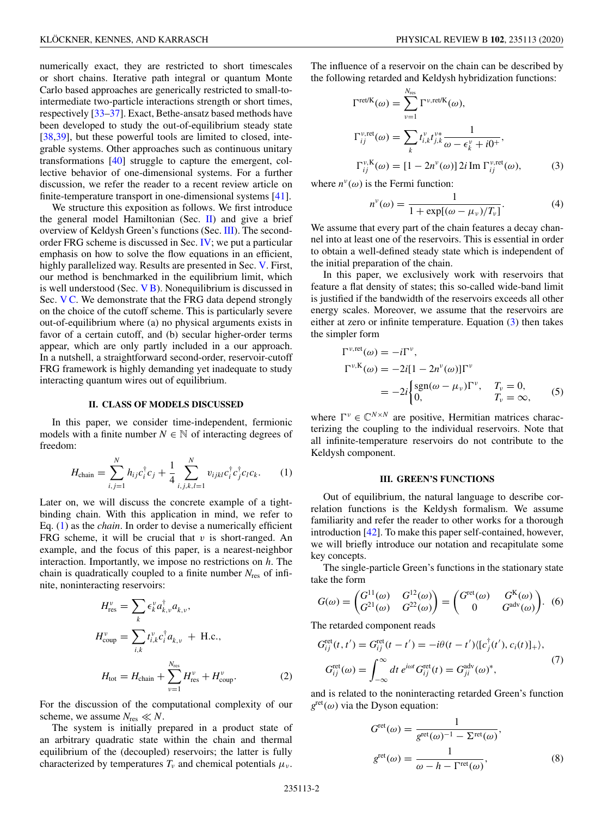<span id="page-1-0"></span>numerically exact, they are restricted to short timescales or short chains. Iterative path integral or quantum Monte Carlo based approaches are generically restricted to small-tointermediate two-particle interactions strength or short times, respectively [\[33–37\]](#page-13-0). Exact, Bethe-ansatz based methods have been developed to study the out-of-equilibrium steady state [\[38,39\]](#page-13-0), but these powerful tools are limited to closed, integrable systems. Other approaches such as continuous unitary transformations [\[40\]](#page-13-0) struggle to capture the emergent, collective behavior of one-dimensional systems. For a further discussion, we refer the reader to a recent review article on finite-temperature transport in one-dimensional systems [\[41\]](#page-13-0).

We structure this exposition as follows. We first introduce the general model Hamiltonian (Sec.  $\Pi$ ) and give a brief overview of Keldysh Green's functions (Sec. III). The secondorder FRG scheme is discussed in Sec. [IV;](#page-2-0) we put a particular emphasis on how to solve the flow equations in an efficient, highly parallelized way. Results are presented in Sec. [V.](#page-7-0) First, our method is benchmarked in the equilibrium limit, which is well understood (Sec. [V B\)](#page-8-0). Nonequilibrium is discussed in Sec. [V C.](#page-10-0) We demonstrate that the FRG data depend strongly on the choice of the cutoff scheme. This is particularly severe out-of-equilibrium where (a) no physical arguments exists in favor of a certain cutoff, and (b) secular higher-order terms appear, which are only partly included in a our approach. In a nutshell, a straightforward second-order, reservoir-cutoff FRG framework is highly demanding yet inadequate to study interacting quantum wires out of equilibrium.

### **II. CLASS OF MODELS DISCUSSED**

In this paper, we consider time-independent, fermionic models with a finite number  $N \in \mathbb{N}$  of interacting degrees of freedom:

$$
H_{\text{chain}} = \sum_{i,j=1}^{N} h_{ij} c_i^{\dagger} c_j + \frac{1}{4} \sum_{i,j,k,l=1}^{N} v_{ijkl} c_i^{\dagger} c_j^{\dagger} c_l c_k.
$$
 (1)

Later on, we will discuss the concrete example of a tightbinding chain. With this application in mind, we refer to Eq. (1) as the *chain*. In order to devise a numerically efficient FRG scheme, it will be crucial that *v* is short-ranged. An example, and the focus of this paper, is a nearest-neighbor interaction. Importantly, we impose no restrictions on *h*. The chain is quadratically coupled to a finite number *N*res of infinite, noninteracting reservoirs:

$$
H_{\text{res}}^{\nu} = \sum_{k} \epsilon_{k}^{\nu} a_{k,\nu}^{\dagger} a_{k,\nu},
$$
  
\n
$$
H_{\text{coup}}^{\nu} = \sum_{i,k} t_{i,k}^{\nu} c_{i}^{\dagger} a_{k,\nu} + \text{H.c.},
$$
  
\n
$$
H_{\text{tot}} = H_{\text{chain}} + \sum_{\nu=1}^{N_{\text{res}}} H_{\text{res}}^{\nu} + H_{\text{coup}}^{\nu}.
$$
 (2)

For the discussion of the computational complexity of our scheme, we assume  $N_{\text{res}} \ll N$ .

The system is initially prepared in a product state of an arbitrary quadratic state within the chain and thermal equilibrium of the (decoupled) reservoirs; the latter is fully characterized by temperatures  $T_{\nu}$  and chemical potentials  $\mu_{\nu}$ .

The influence of a reservoir on the chain can be described by the following retarded and Keldysh hybridization functions:

$$
\Gamma^{\text{ret/K}}(\omega) = \sum_{\nu=1}^{N_{\text{res}}} \Gamma^{\nu,\text{ret/K}}(\omega),
$$
  
\n
$$
\Gamma^{\nu,\text{ret}}_{ij}(\omega) = \sum_{k} t^{\nu}_{i,k} t^{\nu*}_{j,k} \frac{1}{\omega - \epsilon^{\nu}_{k} + i0^{+}},
$$
  
\n
$$
\Gamma^{\nu,K}_{ij}(\omega) = [1 - 2n^{\nu}(\omega)] 2i \operatorname{Im} \Gamma^{\nu,\text{ret}}_{ij}(\omega),
$$
\n(3)

where  $n^{\nu}(\omega)$  is the Fermi function:

$$
n^{\nu}(\omega) = \frac{1}{1 + \exp[(\omega - \mu_{\nu})/T_{\nu}]}.
$$
 (4)

We assume that every part of the chain features a decay channel into at least one of the reservoirs. This is essential in order to obtain a well-defined steady state which is independent of the initial preparation of the chain.

In this paper, we exclusively work with reservoirs that feature a flat density of states; this so-called wide-band limit is justified if the bandwidth of the reservoirs exceeds all other energy scales. Moreover, we assume that the reservoirs are either at zero or infinite temperature. Equation (3) then takes the simpler form

$$
\Gamma^{\nu,ret}(\omega) = -i\Gamma^{\nu},
$$
  
\n
$$
\Gamma^{\nu,K}(\omega) = -2i[1 - 2n^{\nu}(\omega)]\Gamma^{\nu}
$$
  
\n
$$
= -2i\begin{cases} sgn(\omega - \mu_{\nu})\Gamma^{\nu}, & T_{\nu} = 0, \\ 0, & T_{\nu} = \infty, \end{cases}
$$
 (5)

where  $\Gamma^{\nu} \in \mathbb{C}^{N \times N}$  are positive, Hermitian matrices characterizing the coupling to the individual reservoirs. Note that all infinite-temperature reservoirs do not contribute to the Keldysh component.

#### **III. GREEN'S FUNCTIONS**

Out of equilibrium, the natural language to describe correlation functions is the Keldysh formalism. We assume familiarity and refer the reader to other works for a thorough introduction [\[42\]](#page-13-0). To make this paper self-contained, however, we will briefly introduce our notation and recapitulate some key concepts.

The single-particle Green's functions in the stationary state take the form

$$
G(\omega) = \begin{pmatrix} G^{11}(\omega) & G^{12}(\omega) \\ G^{21}(\omega) & G^{22}(\omega) \end{pmatrix} = \begin{pmatrix} G^{\text{ret}}(\omega) & G^{\text{K}}(\omega) \\ 0 & G^{\text{adv}}(\omega) \end{pmatrix}.
$$
 (6)

The retarded component reads

$$
G_{ij}^{\text{ret}}(t, t') = G_{ij}^{\text{ret}}(t - t') = -i\theta(t - t') \langle [c_j^{\dagger}(t'), c_i(t)]_+ \rangle,
$$
  
\n
$$
G_{ij}^{\text{ret}}(\omega) = \int_{-\infty}^{\infty} dt \ e^{i\omega t} G_{ij}^{\text{ret}}(t) = G_{ji}^{\text{adv}}(\omega)^*,
$$
\n(7)

and is related to the noninteracting retarded Green's function  $g^{\text{ret}}(\omega)$  via the Dyson equation:

$$
G^{\text{ret}}(\omega) = \frac{1}{g^{\text{ret}}(\omega)^{-1} - \Sigma^{\text{ret}}(\omega)},
$$

$$
g^{\text{ret}}(\omega) = \frac{1}{\omega - h - \Gamma^{\text{ret}}(\omega)},
$$
(8)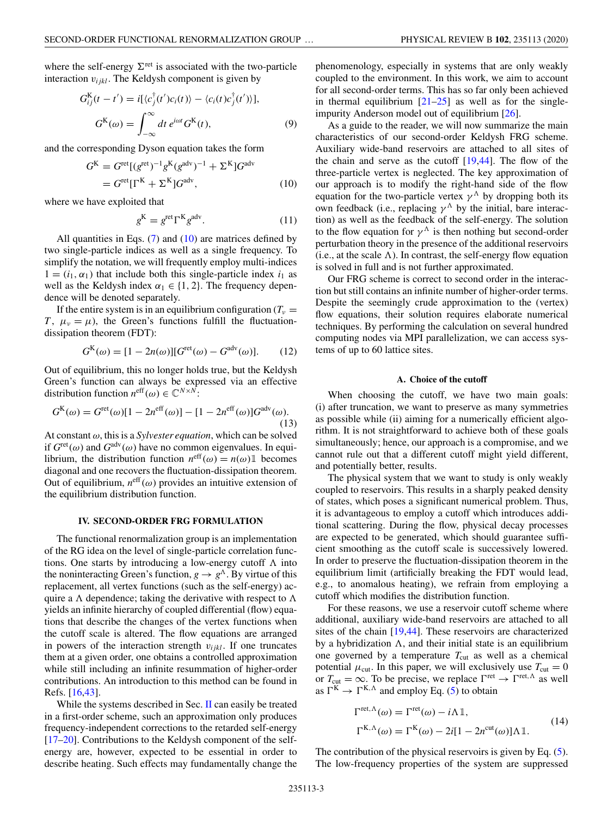<span id="page-2-0"></span>where the self-energy  $\Sigma^{\text{ret}}$  is associated with the two-particle interaction  $v_{ijkl}$ . The Keldysh component is given by

$$
G_{ij}^{K}(t-t') = i[\langle c_{j}^{\dagger}(t')c_{i}(t)\rangle - \langle c_{i}(t)c_{j}^{\dagger}(t')\rangle],
$$
  
\n
$$
G^{K}(\omega) = \int_{-\infty}^{\infty} dt \, e^{i\omega t} G^{K}(t),
$$
\n(9)

and the corresponding Dyson equation takes the form

$$
G^{K} = G^{\text{ret}}[(g^{\text{ret}})^{-1}g^{K}(g^{\text{adv}})^{-1} + \Sigma^{K}]G^{\text{adv}}
$$

$$
= G^{\text{ret}}[\Gamma^{K} + \Sigma^{K}]G^{\text{adv}}, \qquad (10)
$$

where we have exploited that

$$
gK = gret \GammaK gadv.
$$
 (11)

All quantities in Eqs.  $(7)$  and  $(10)$  are matrices defined by two single-particle indices as well as a single frequency. To simplify the notation, we will frequently employ multi-indices  $1 = (i_1, \alpha_1)$  that include both this single-particle index  $i_1$  as well as the Keldysh index  $\alpha_1 \in \{1, 2\}$ . The frequency dependence will be denoted separately.

If the entire system is in an equilibrium configuration  $(T_v =$ *T*,  $\mu_v = \mu$ ), the Green's functions fulfill the fluctuationdissipation theorem (FDT):

$$
G^{K}(\omega) = [1 - 2n(\omega)][G^{\text{ret}}(\omega) - G^{\text{adv}}(\omega)].
$$
 (12)

Out of equilibrium, this no longer holds true, but the Keldysh Green's function can always be expressed via an effective distribution function  $n^{\text{eff}}(\omega) \in \mathbb{C}^{N \times N}$ .

$$
G^{K}(\omega) = G^{\text{ret}}(\omega)[1 - 2n^{\text{eff}}(\omega)] - [1 - 2n^{\text{eff}}(\omega)]G^{\text{adv}}(\omega).
$$
\n(13)

At constant ω, this is a *Sylvester equation*, which can be solved if  $G^{\text{ret}}(\omega)$  and  $G^{\text{adv}}(\omega)$  have no common eigenvalues. In equilibrium, the distribution function  $n^{\text{eff}}(\omega) = n(\omega) \mathbb{1}$  becomes diagonal and one recovers the fluctuation-dissipation theorem. Out of equilibrium,  $n<sup>eff</sup>(\omega)$  provides an intuitive extension of the equilibrium distribution function.

# **IV. SECOND-ORDER FRG FORMULATION**

The functional renormalization group is an implementation of the RG idea on the level of single-particle correlation functions. One starts by introducing a low-energy cutoff  $\Lambda$  into the noninteracting Green's function,  $g \rightarrow g^{\Lambda}$ . By virtue of this replacement, all vertex functions (such as the self-energy) acquire a  $\Lambda$  dependence; taking the derivative with respect to  $\Lambda$ yields an infinite hierarchy of coupled differential (flow) equations that describe the changes of the vertex functions when the cutoff scale is altered. The flow equations are arranged in powers of the interaction strength  $v_{ijkl}$ . If one truncates them at a given order, one obtains a controlled approximation while still including an infinite resummation of higher-order contributions. An introduction to this method can be found in Refs. [\[16,](#page-12-0)[43\]](#page-13-0).

While the systems described in Sec. [II](#page-1-0) can easily be treated in a first-order scheme, such an approximation only produces frequency-independent corrections to the retarded self-energy [\[17–20\]](#page-12-0). Contributions to the Keldysh component of the selfenergy are, however, expected to be essential in order to describe heating. Such effects may fundamentally change the phenomenology, especially in systems that are only weakly coupled to the environment. In this work, we aim to account for all second-order terms. This has so far only been achieved in thermal equilibrium  $[21-25]$  as well as for the singleimpurity Anderson model out of equilibrium [\[26\]](#page-12-0).

As a guide to the reader, we will now summarize the main characteristics of our second-order Keldysh FRG scheme. Auxiliary wide-band reservoirs are attached to all sites of the chain and serve as the cutoff  $[19,44]$  $[19,44]$ . The flow of the three-particle vertex is neglected. The key approximation of our approach is to modify the right-hand side of the flow equation for the two-particle vertex  $\gamma^{\Lambda}$  by dropping both its own feedback (i.e., replacing  $\gamma^{\Lambda}$  by the initial, bare interaction) as well as the feedback of the self-energy. The solution to the flow equation for  $\gamma^{\Lambda}$  is then nothing but second-order perturbation theory in the presence of the additional reservoirs  $(i.e., at the scale  $\Lambda$ ). In contrast, the self-energy flow equation$ is solved in full and is not further approximated.

Our FRG scheme is correct to second order in the interaction but still contains an infinite number of higher-order terms. Despite the seemingly crude approximation to the (vertex) flow equations, their solution requires elaborate numerical techniques. By performing the calculation on several hundred computing nodes via MPI parallelization, we can access systems of up to 60 lattice sites.

### **A. Choice of the cutoff**

When choosing the cutoff, we have two main goals: (i) after truncation, we want to preserve as many symmetries as possible while (ii) aiming for a numerically efficient algorithm. It is not straightforward to achieve both of these goals simultaneously; hence, our approach is a compromise, and we cannot rule out that a different cutoff might yield different, and potentially better, results.

The physical system that we want to study is only weakly coupled to reservoirs. This results in a sharply peaked density of states, which poses a significant numerical problem. Thus, it is advantageous to employ a cutoff which introduces additional scattering. During the flow, physical decay processes are expected to be generated, which should guarantee sufficient smoothing as the cutoff scale is successively lowered. In order to preserve the fluctuation-dissipation theorem in the equilibrium limit (artificially breaking the FDT would lead, e.g., to anomalous heating), we refrain from employing a cutoff which modifies the distribution function.

For these reasons, we use a reservoir cutoff scheme where additional, auxiliary wide-band reservoirs are attached to all sites of the chain [\[19](#page-12-0)[,44\]](#page-13-0). These reservoirs are characterized by a hybridization  $\Lambda$ , and their initial state is an equilibrium one governed by a temperature  $T_{\text{cut}}$  as well as a chemical potential  $\mu_{\text{cut}}$ . In this paper, we will exclusively use  $T_{\text{cut}} = 0$ or  $T_{\text{cut}} = \infty$ . To be precise, we replace  $\Gamma^{\text{ret}} \to \Gamma^{\text{ret}, \Lambda}$  as well as  $\Gamma^K \to \Gamma^{K,\Lambda}$  and employ Eq. [\(5\)](#page-1-0) to obtain

$$
\Gamma^{\text{ret}, \Lambda}(\omega) = \Gamma^{\text{ret}}(\omega) - i\Lambda \mathbb{1},
$$
  
\n
$$
\Gamma^{\text{K}, \Lambda}(\omega) = \Gamma^{\text{K}}(\omega) - 2i[1 - 2n^{\text{cut}}(\omega)]\Lambda \mathbb{1}.
$$
\n(14)

The contribution of the physical reservoirs is given by Eq.  $(5)$ . The low-frequency properties of the system are suppressed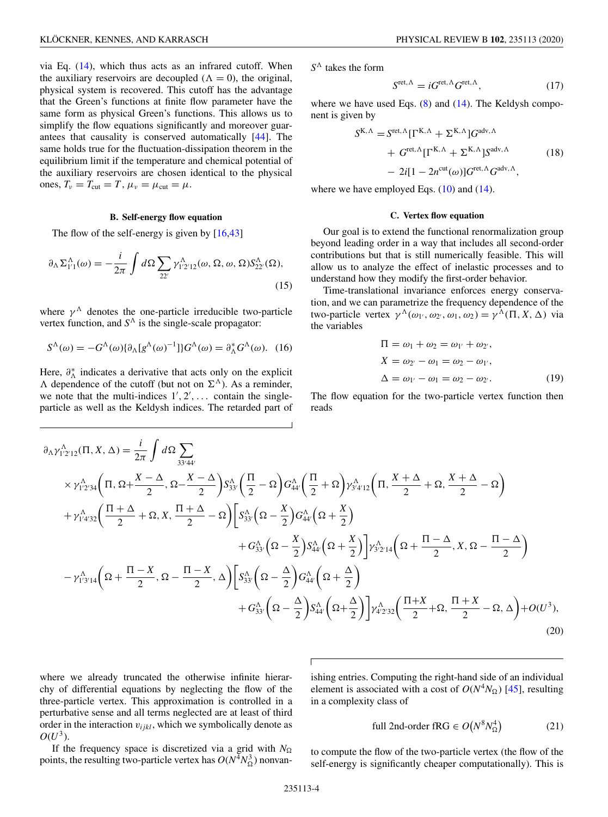<span id="page-3-0"></span>via Eq. [\(14\)](#page-2-0), which thus acts as an infrared cutoff. When the auxiliary reservoirs are decoupled  $(\Lambda = 0)$ , the original, physical system is recovered. This cutoff has the advantage that the Green's functions at finite flow parameter have the same form as physical Green's functions. This allows us to simplify the flow equations significantly and moreover guarantees that causality is conserved automatically [\[44\]](#page-13-0). The same holds true for the fluctuation-dissipation theorem in the equilibrium limit if the temperature and chemical potential of the auxiliary reservoirs are chosen identical to the physical ones,  $T_v = T_{\text{cut}} = T$ ,  $\mu_v = \mu_{\text{cut}} = \mu$ .

### **B. Self-energy flow equation**

The flow of the self-energy is given by [\[16,](#page-12-0)[43\]](#page-13-0)

$$
\partial_{\Lambda} \Sigma_{1'1}^{\Lambda}(\omega) = -\frac{i}{2\pi} \int d\Omega \sum_{22'} \gamma_{1'2'12}^{\Lambda}(\omega, \Omega, \omega, \Omega) S_{22'}^{\Lambda}(\Omega), \tag{15}
$$

where  $\gamma^{\Lambda}$  denotes the one-particle irreducible two-particle vertex function, and  $S^{\Lambda}$  is the single-scale propagator:

$$
S^{\Lambda}(\omega) = -G^{\Lambda}(\omega)\{\partial_{\Lambda}[g^{\Lambda}(\omega)^{-1}]\}G^{\Lambda}(\omega) = \partial_{\Lambda}^{*}G^{\Lambda}(\omega). \tag{16}
$$

Here,  $\partial_{\Lambda}^{*}$  indicates a derivative that acts only on the explicit  $\Lambda$  dependence of the cutoff (but not on  $\Sigma^{\Lambda}$ ). As a reminder, we note that the multi-indices  $1', 2', \ldots$  contain the singleparticle as well as the Keldysh indices. The retarded part of *S* takes the form

$$
S^{\text{ret}, \Lambda} = i G^{\text{ret}, \Lambda} G^{\text{ret}, \Lambda}, \tag{17}
$$

where we have used Eqs.  $(8)$  and  $(14)$ . The Keldysh component is given by

$$
S^{K,\Lambda} = S^{\text{ret},\Lambda} [\Gamma^{K,\Lambda} + \Sigma^{K,\Lambda}] G^{\text{adv},\Lambda}
$$
  
+ 
$$
G^{\text{ret},\Lambda} [\Gamma^{K,\Lambda} + \Sigma^{K,\Lambda}] S^{\text{adv},\Lambda}
$$
  
- 
$$
2i[1 - 2n^{\text{cut}}(\omega)] G^{\text{ret},\Lambda} G^{\text{adv},\Lambda},
$$
 (18)

where we have employed Eqs.  $(10)$  and  $(14)$ .

## **C. Vertex flow equation**

Our goal is to extend the functional renormalization group beyond leading order in a way that includes all second-order contributions but that is still numerically feasible. This will allow us to analyze the effect of inelastic processes and to understand how they modify the first-order behavior.

Time-translational invariance enforces energy conservation, and we can parametrize the frequency dependence of the two-particle vertex  $\gamma^{\Lambda}(\omega_1, \omega_2, \omega_1, \omega_2) = \gamma^{\Lambda}(\Pi, X, \Delta)$  via the variables

$$
\Pi = \omega_1 + \omega_2 = \omega_{1'} + \omega_{2'},
$$
  
\n
$$
X = \omega_{2'} - \omega_1 = \omega_2 - \omega_{1'},
$$
  
\n
$$
\Delta = \omega_{1'} - \omega_1 = \omega_2 - \omega_{2'}.
$$
\n(19)

The flow equation for the two-particle vertex function then reads

$$
\partial_{\Lambda} \gamma_{1'2'12}^{\Lambda}(\Pi, X, \Delta) = \frac{i}{2\pi} \int d\Omega \sum_{33'44'} \times \gamma_{1'2'34}^{\Lambda} \Big( \Pi, \Omega + \frac{X - \Delta}{2}, \Omega - \frac{X - \Delta}{2} \Big) S_{33'}^{\Lambda} \Big( \frac{\Pi}{2} - \Omega \Big) G_{44'}^{\Lambda} \Big( \frac{\Pi}{2} + \Omega \Big) \gamma_{3'4'12}^{\Lambda} \Big( \Pi, \frac{X + \Delta}{2} + \Omega, \frac{X + \Delta}{2} - \Omega \Big) \n+ \gamma_{1'4'32}^{\Lambda} \Big( \frac{\Pi + \Delta}{2} + \Omega, X, \frac{\Pi + \Delta}{2} - \Omega \Big) \Big[ S_{33'}^{\Lambda} \Big( \Omega - \frac{X}{2} \Big) G_{44'}^{\Lambda} \Big( \Omega + \frac{X}{2} \Big) \n+ G_{33'}^{\Lambda} \Big( \Omega - \frac{X}{2} \Big) S_{44'}^{\Lambda} \Big( \Omega + \frac{X}{2} \Big) \Big] \gamma_{3'2'14}^{\Lambda} \Big( \Omega + \frac{\Pi - \Delta}{2}, X, \Omega - \frac{\Pi - \Delta}{2} \Big) \n- \gamma_{1'3'14}^{\Lambda} \Big( \Omega + \frac{\Pi - X}{2}, \Omega - \frac{\Pi - X}{2}, \Delta \Big) \Big[ S_{33'}^{\Lambda} \Big( \Omega - \frac{\Delta}{2} \Big) G_{44'}^{\Lambda} \Big( \Omega + \frac{\Delta}{2} \Big) \n+ G_{33'}^{\Lambda} \Big( \Omega - \frac{\Delta}{2} \Big) S_{44'}^{\Lambda} \Big( \Omega + \frac{\Delta}{2} \Big) \Big] \gamma_{4'2'32}^{\Lambda} \Big( \frac{\Pi + X}{2} + \Omega, \frac{\Pi + X}{2} - \Omega, \Delta \Big) + O(U^3),
$$
\n(20)

where we already truncated the otherwise infinite hierarchy of differential equations by neglecting the flow of the three-particle vertex. This approximation is controlled in a perturbative sense and all terms neglected are at least of third order in the interaction  $v_{ijkl}$ , which we symbolically denote as  $O(U^3)$ .

ishing entries. Computing the right-hand side of an individual element is associated with a cost of  $O(N^4N_{\Omega})$  [\[45\]](#page-13-0), resulting in a complexity class of

full 2nd-order fRG 
$$
\in O(N^8N_\Omega^4)
$$
 (21)

If the frequency space is discretized via a grid with  $N_{\Omega}$ points, the resulting two-particle vertex has  $O(N^4N_{\Omega}^3)$  nonvan-

to compute the flow of the two-particle vertex (the flow of the self-energy is significantly cheaper computationally). This is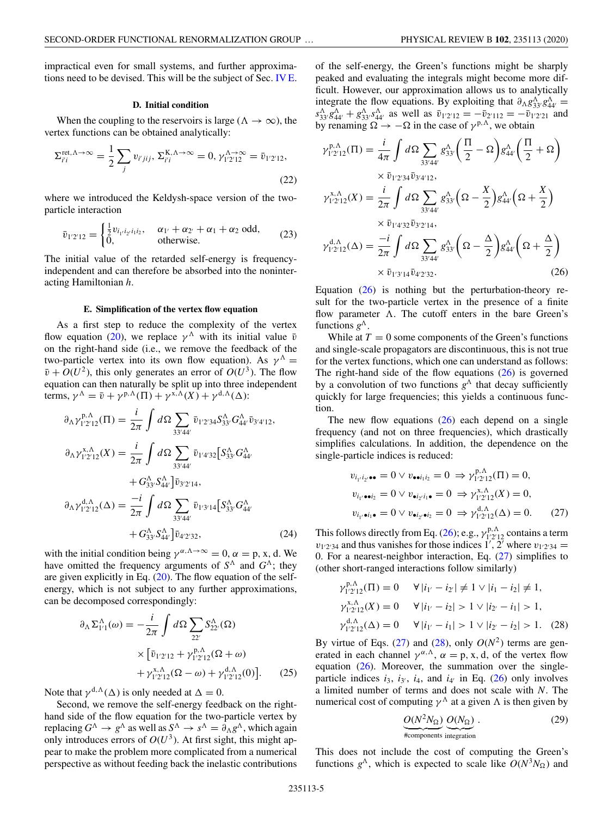<span id="page-4-0"></span>impractical even for small systems, and further approximations need to be devised. This will be the subject of Sec. IV E.

#### **D. Initial condition**

When the coupling to the reservoirs is large ( $\Lambda \rightarrow \infty$ ), the vertex functions can be obtained analytically:

$$
\Sigma_{i'i}^{\text{ret}, \Lambda \to \infty} = \frac{1}{2} \sum_{j} v_{i'jij}, \Sigma_{i'i}^{\text{K}, \Lambda \to \infty} = 0, \gamma_{1'2'12}^{\Lambda \to \infty} = \bar{v}_{1'2'12},
$$
\n(22)

where we introduced the Keldysh-space version of the twoparticle interaction

$$
\bar{v}_{1'2'12} = \begin{cases} \frac{1}{2} v_{i_1 i_2 i_1 i_2}, & \alpha_{1'} + \alpha_{2'} + \alpha_{1} + \alpha_{2} \text{ odd}, \\ 0, & \text{otherwise.} \end{cases}
$$
 (23)

The initial value of the retarded self-energy is frequencyindependent and can therefore be absorbed into the noninteracting Hamiltonian *h*.

#### **E. Simplification of the vertex flow equation**

As a first step to reduce the complexity of the vertex flow equation [\(20\)](#page-3-0), we replace  $\gamma^{\Lambda}$  with its initial value  $\bar{v}$ on the right-hand side (i.e., we remove the feedback of the two-particle vertex into its own flow equation). As  $\gamma^A$  =  $\bar{v} + O(U^2)$ , this only generates an error of  $O(U^3)$ . The flow equation can then naturally be split up into three independent terms,  $\gamma^{\Lambda} = \bar{\nu} + \gamma^{p,\Lambda}(\Pi) + \gamma^{x,\Lambda}(X) + \gamma^{d,\Lambda}(\Delta)$ :

$$
\partial_{\Lambda} \gamma_{1'2'12}^{\text{p},\Lambda}(\Pi) = \frac{i}{2\pi} \int d\Omega \sum_{33'44'} \bar{v}_{1'2'34} S_{33'}^{\Lambda} G_{44'}^{\Lambda} \bar{v}_{3'4'12},
$$
  
\n
$$
\partial_{\Lambda} \gamma_{1'2'12}^{\text{x},\Lambda}(X) = \frac{i}{2\pi} \int d\Omega \sum_{33'44'} \bar{v}_{1'4'32} \Big[ S_{33'}^{\Lambda} G_{44'}^{\Lambda} + G_{33'}^{\Lambda} S_{44'}^{\Lambda} \Big] \bar{v}_{3'2'14},
$$
  
\n
$$
\partial_{\Lambda} \gamma_{1'2'12}^{\text{d},\Lambda}(\Delta) = \frac{-i}{2\pi} \int d\Omega \sum_{33'44'} \bar{v}_{1'3'14} \Big[ S_{33'}^{\Lambda} G_{44'}^{\Lambda} + G_{33'}^{\Lambda} S_{44'}^{\Lambda} \Big] \bar{v}_{4'2'32}, \tag{24}
$$

with the initial condition being  $\gamma^{\alpha,\Lambda\to\infty} = 0$ ,  $\alpha = \rho$ , x, d. We have omitted the frequency arguments of  $S^{\Lambda}$  and  $G^{\Lambda}$ ; they are given explicitly in Eq.  $(20)$ . The flow equation of the selfenergy, which is not subject to any further approximations, can be decomposed correspondingly:

$$
\partial_{\Lambda} \Sigma_{1'1}^{\Lambda}(\omega) = -\frac{i}{2\pi} \int d\Omega \sum_{22'} S_{22'}^{\Lambda}(\Omega)
$$
  
 
$$
\times \left[ \bar{v}_{1'2'12} + \gamma_{1'2'12}^{\mathbf{p},\Lambda}(\Omega + \omega) + \gamma_{1'2'12}^{\mathbf{x},\Lambda}(\Omega - \omega) + \gamma_{1'2'12}^{\mathbf{d},\Lambda}(0) \right].
$$
 (25)

Note that  $\gamma^{d,\Lambda}(\Delta)$  is only needed at  $\Delta = 0$ .

Second, we remove the self-energy feedback on the righthand side of the flow equation for the two-particle vertex by replacing  $G^{\Lambda} \to g^{\Lambda}$  as well as  $S^{\Lambda} \to s^{\Lambda} = \partial_{\Lambda} g^{\Lambda}$ , which again only introduces errors of  $O(U^3)$ . At first sight, this might appear to make the problem more complicated from a numerical perspective as without feeding back the inelastic contributions of the self-energy, the Green's functions might be sharply peaked and evaluating the integrals might become more difficult. However, our approximation allows us to analytically integrate the flow equations. By exploiting that  $\partial_{\Lambda} g_{3}^{\Lambda} g_{44'}^{\Lambda} =$  $s_{33'}^{\Lambda} g_{44'}^{\Lambda} + g_{33'}^{\Lambda} s_{44'}^{\Lambda}$  as well as  $\bar{v}_{1'2'12} = -\bar{v}_{2'112} = -\bar{v}_{1'2'21}$  and

by renaming  $\Omega \to -\Omega$  in the case of  $\gamma^{p,\Lambda}$ , we obtain

$$
\gamma_{1'2'12}^{p,\Lambda}(\Pi) = \frac{i}{4\pi} \int d\Omega \sum_{33'44'} g_{33'}^{\Lambda} \left(\frac{\Pi}{2} - \Omega\right) g_{44'}^{\Lambda} \left(\frac{\Pi}{2} + \Omega\right)
$$
  

$$
\times \bar{v}_{1'2'34} \bar{v}_{3'4'12},
$$
  

$$
\gamma_{1'2'12}^{\chi,\Lambda}(\overline{X}) = \frac{i}{2\pi} \int d\Omega \sum_{33'44'} g_{33'}^{\Lambda} \left(\Omega - \frac{\overline{X}}{2}\right) g_{44'}^{\Lambda} \left(\Omega + \frac{\overline{X}}{2}\right)
$$
  

$$
\times \bar{v}_{1'4'32} \bar{v}_{3'2'14},
$$
  

$$
\gamma_{1'2'12}^{d,\Lambda}(\Delta) = \frac{-i}{2\pi} \int d\Omega \sum_{33'44'} g_{33'}^{\Lambda} \left(\Omega - \frac{\Delta}{2}\right) g_{44'}^{\Lambda} \left(\Omega + \frac{\Delta}{2}\right)
$$
  

$$
\times \bar{v}_{1'3'14} \bar{v}_{4'2'32}. \tag{26}
$$

Equation  $(26)$  is nothing but the perturbation-theory result for the two-particle vertex in the presence of a finite flow parameter  $\Lambda$ . The cutoff enters in the bare Green's functions  $g^{\Lambda}$ .

While at  $T = 0$  some components of the Green's functions and single-scale propagators are discontinuous, this is not true for the vertex functions, which one can understand as follows: The right-hand side of the flow equations  $(26)$  is governed by a convolution of two functions  $g^{\Lambda}$  that decay sufficiently quickly for large frequencies; this yields a continuous function.

The new flow equations  $(26)$  each depend on a single frequency (and not on three frequencies), which drastically simplifies calculations. In addition, the dependence on the single-particle indices is reduced:

$$
v_{i_{1'}i_{2'}\bullet\bullet} = 0 \lor v_{\bullet \bullet i_1 i_2} = 0 \Rightarrow \gamma_{1'2'12}^{p,\Lambda}(\Pi) = 0,
$$
  

$$
v_{i_{1'}\bullet i_2} = 0 \lor v_{\bullet i_2 i_1 \bullet} = 0 \Rightarrow \gamma_{1'2'12}^{x,\Lambda}(X) = 0,
$$
  

$$
v_{i_{1'}\bullet i_1 \bullet} = 0 \lor v_{\bullet i_2 \bullet i_2} = 0 \Rightarrow \gamma_{1'2'12}^{d,\Lambda}(\Delta) = 0.
$$
 (27)

This follows directly from Eq. (26); e.g.,  $\gamma_{1'2'12}^{p,\Lambda}$  contains a term  $v_{1'2'34}$  and thus vanishes for those indices 1', 2' where  $v_{1'2'34}$  = 0. For a nearest-neighbor interaction, Eq. (27) simplifies to (other short-ranged interactions follow similarly)

$$
\gamma_{1'2'12}^{p,\Lambda}(\Pi) = 0 \quad \forall |i_{1'} - i_{2'}| \neq 1 \lor |i_1 - i_2| \neq 1,
$$
  
\n
$$
\gamma_{1'2'12}^{x,\Lambda}(X) = 0 \quad \forall |i_{1'} - i_2| > 1 \lor |i_{2'} - i_1| > 1,
$$
  
\n
$$
\gamma_{1'2'12}^{d,\Lambda}(\Delta) = 0 \quad \forall |i_{1'} - i_1| > 1 \lor |i_{2'} - i_2| > 1.
$$
 (28)

By virtue of Eqs. (27) and (28), only  $O(N^2)$  terms are generated in each channel  $\gamma^{\alpha,\Lambda}$ ,  $\alpha = p$ , x, d, of the vertex flow equation  $(26)$ . Moreover, the summation over the singleparticle indices  $i_3$ ,  $i_3$ ,  $i_4$ , and  $i_4$  in Eq. (26) only involves a limited number of terms and does not scale with *N*. The numerical cost of computing  $\gamma^{\Lambda}$  at a given  $\Lambda$  is then given by

$$
\underbrace{O(N^2 N_{\Omega})}_{\text{Excomponents integration}} \underbrace{O(N_{\Omega})}_{\text{the components} \text{integration}}.
$$
 (29)

This does not include the cost of computing the Green's functions  $g^{\Lambda}$ , which is expected to scale like  $O(N^3 N_{\Omega})$  and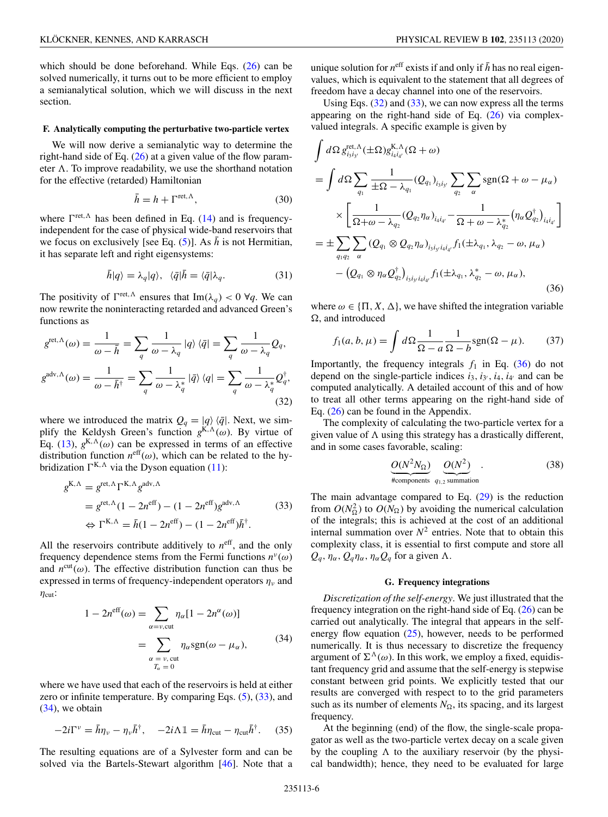<span id="page-5-0"></span>which should be done beforehand. While Eqs. [\(26\)](#page-4-0) can be solved numerically, it turns out to be more efficient to employ a semianalytical solution, which we will discuss in the next section.

### **F. Analytically computing the perturbative two-particle vertex**

We will now derive a semianalytic way to determine the right-hand side of Eq. [\(26\)](#page-4-0) at a given value of the flow parameter  $\Lambda$ . To improve readability, we use the shorthand notation for the effective (retarded) Hamiltonian

$$
\bar{h} = h + \Gamma^{\text{ret}, \Lambda},\tag{30}
$$

where  $\Gamma^{\text{ret}, \Lambda}$  has been defined in Eq. [\(14\)](#page-2-0) and is frequencyindependent for the case of physical wide-band reservoirs that we focus on exclusively [see Eq.  $(5)$ ]. As  $\bar{h}$  is not Hermitian, it has separate left and right eigensystems:

$$
\bar{h}|q\rangle = \lambda_q|q\rangle, \quad \langle \bar{q}|\bar{h} = \langle \bar{q}|\lambda_q. \tag{31}
$$

The positivity of  $\Gamma^{\text{ret}, \Lambda}$  ensures that  $\text{Im}(\lambda_q) < 0 \ \forall q$ . We can now rewrite the noninteracting retarded and advanced Green's functions as

$$
g^{\text{ret},\Lambda}(\omega) = \frac{1}{\omega - \bar{h}} = \sum_{q} \frac{1}{\omega - \lambda_q} |q\rangle \langle \bar{q}| = \sum_{q} \frac{1}{\omega - \lambda_q} Q_q,
$$
  

$$
g^{\text{adv},\Lambda}(\omega) = \frac{1}{\omega - \bar{h}^{\dagger}} = \sum_{q} \frac{1}{\omega - \lambda_q^*} |\bar{q}\rangle \langle q| = \sum_{q} \frac{1}{\omega - \lambda_q^*} Q_q^{\dagger},
$$
(32)

where we introduced the matrix  $Q_q = |q\rangle \langle \bar{q}|$ . Next, we simplify the Keldysh Green's function  $g^{K,\Lambda}(\omega)$ . By virtue of Eq. [\(13\)](#page-2-0),  $g^{K,\Lambda}(\omega)$  can be expressed in terms of an effective distribution function  $n<sup>eff</sup>(\omega)$ , which can be related to the hybridization  $\Gamma^{K,\Lambda}$  via the Dyson equation [\(11\)](#page-2-0):

$$
g^{K,\Lambda} = g^{\text{ret},\Lambda} \Gamma^{K,\Lambda} g^{\text{adv},\Lambda}
$$
  
=  $g^{\text{ret},\Lambda} (1 - 2n^{\text{eff}}) - (1 - 2n^{\text{eff}}) g^{\text{adv},\Lambda}$  (33)  

$$
\Leftrightarrow \Gamma^{K,\Lambda} = \bar{h} (1 - 2n^{\text{eff}}) - (1 - 2n^{\text{eff}}) \bar{h}^{\dagger}.
$$

All the reservoirs contribute additively to  $n<sup>eff</sup>$ , and the only frequency dependence stems from the Fermi functions  $n^{\nu}(\omega)$ and  $n^{\text{cut}}(\omega)$ . The effective distribution function can thus be expressed in terms of frequency-independent operators  $\eta_{\nu}$  and  $\eta_{\text{cut}}$ :

$$
1 - 2n^{\text{eff}}(\omega) = \sum_{\alpha = \nu, \text{cut}} \eta_{\alpha} [1 - 2n^{\alpha}(\omega)]
$$

$$
= \sum_{\substack{\alpha = \nu, \text{cut} \\ T_{\alpha} = 0}} \eta_{\alpha} \text{sgn}(\omega - \mu_{\alpha}), \tag{34}
$$

where we have used that each of the reservoirs is held at either zero or infinite temperature. By comparing Eqs.  $(5)$ ,  $(33)$ , and (34), we obtain

$$
-2i\Gamma^{\nu} = \bar{h}\eta_{\nu} - \eta_{\nu}\bar{h}^{\dagger}, \quad -2i\Lambda \mathbb{1} = \bar{h}\eta_{\rm cut} - \eta_{\rm cut}\bar{h}^{\dagger}.
$$
 (35)

The resulting equations are of a Sylvester form and can be solved via the Bartels-Stewart algorithm [\[46\]](#page-13-0). Note that a unique solution for  $n^{\text{eff}}$  exists if and only if  $\bar{h}$  has no real eigenvalues, which is equivalent to the statement that all degrees of freedom have a decay channel into one of the reservoirs.

Using Eqs.  $(32)$  and  $(33)$ , we can now express all the terms appearing on the right-hand side of Eq. [\(26\)](#page-4-0) via complexvalued integrals. A specific example is given by

$$
\int d\Omega g_{i_3i_3}^{\text{ret},\Lambda}(\pm \Omega) g_{i_4i_4}^{\text{K},\Lambda}(\Omega + \omega)
$$
\n
$$
= \int d\Omega \sum_{q_1} \frac{1}{\pm \Omega - \lambda_{q_1}} (Q_{q_1})_{i_3i_3} \sum_{q_2} \sum_{\alpha} \text{sgn}(\Omega + \omega - \mu_{\alpha})
$$
\n
$$
\times \left[ \frac{1}{\Omega + \omega - \lambda_{q_2}} (Q_{q_2} \eta_{\alpha})_{i_4i_4} - \frac{1}{\Omega + \omega - \lambda_{q_2}^*} (\eta_{\alpha} Q_{q_2}^{\dagger})_{i_4i_4} \right]
$$
\n
$$
= \pm \sum_{q_1q_2} \sum_{\alpha} (Q_{q_1} \otimes Q_{q_2} \eta_{\alpha})_{i_3i_3i_4i_4} f_1(\pm \lambda_{q_1}, \lambda_{q_2} - \omega, \mu_{\alpha})
$$
\n
$$
- (Q_{q_1} \otimes \eta_{\alpha} Q_{q_2}^{\dagger})_{i_3i_3i_4i_4} f_1(\pm \lambda_{q_1}, \lambda_{q_2}^* - \omega, \mu_{\alpha}), \tag{36}
$$

where  $\omega \in \{\Pi, X, \Delta\}$ , we have shifted the integration variable  $\Omega$ , and introduced

$$
f_1(a, b, \mu) = \int d\Omega \frac{1}{\Omega - a} \frac{1}{\Omega - b} \text{sgn}(\Omega - \mu).
$$
 (37)

Importantly, the frequency integrals  $f_1$  in Eq. (36) do not depend on the single-particle indices  $i_3$ ,  $i_3$ ,  $i_4$ ,  $i_4$  and can be computed analytically. A detailed account of this and of how to treat all other terms appearing on the right-hand side of Eq. [\(26\)](#page-4-0) can be found in the Appendix.

The complexity of calculating the two-particle vertex for a given value of  $\Lambda$  using this strategy has a drastically different, and in some cases favorable, scaling:

$$
\underbrace{O(N^2N_{\Omega})}_{\text{#components}} \underbrace{O(N^2)}_{q_{1,2} \text{ summation}}.
$$
 (38)

The main advantage compared to Eq.  $(29)$  is the reduction from  $O(N_2^2)$  to  $O(N_2)$  by avoiding the numerical calculation of the integrals; this is achieved at the cost of an additional internal summation over  $N^2$  entries. Note that to obtain this complexity class, it is essential to first compute and store all  $Q_q$ ,  $\eta_\alpha$ ,  $Q_q \eta_\alpha$ ,  $\eta_\alpha Q_q$  for a given  $\Lambda$ .

### **G. Frequency integrations**

*Discretization of the self-energy*. We just illustrated that the frequency integration on the right-hand side of Eq. [\(26\)](#page-4-0) can be carried out analytically. The integral that appears in the selfenergy flow equation  $(25)$ , however, needs to be performed numerically. It is thus necessary to discretize the frequency argument of  $\Sigma^{\Lambda}(\omega)$ . In this work, we employ a fixed, equidistant frequency grid and assume that the self-energy is stepwise constant between grid points. We explicitly tested that our results are converged with respect to to the grid parameters such as its number of elements  $N_{\Omega}$ , its spacing, and its largest frequency.

At the beginning (end) of the flow, the single-scale propagator as well as the two-particle vertex decay on a scale given by the coupling  $\Lambda$  to the auxiliary reservoir (by the physical bandwidth); hence, they need to be evaluated for large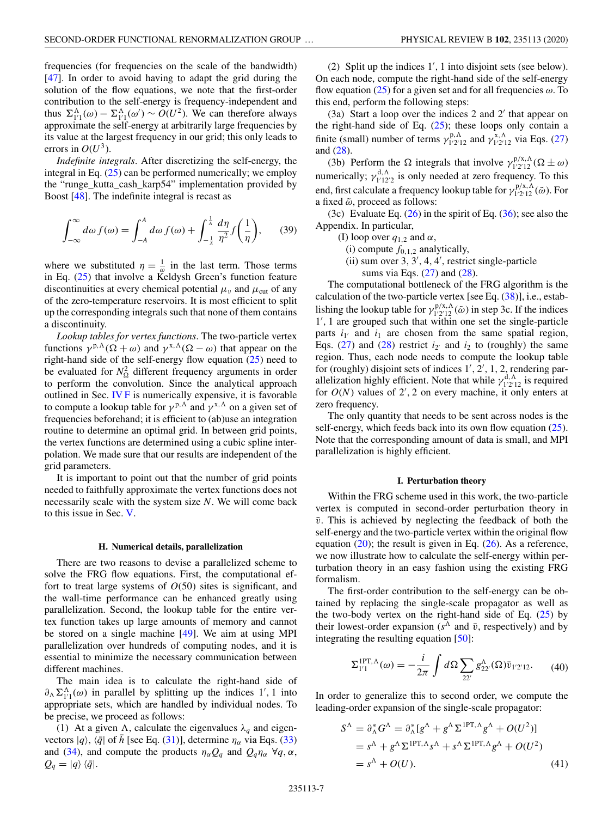<span id="page-6-0"></span>frequencies (for frequencies on the scale of the bandwidth) [\[47\]](#page-13-0). In order to avoid having to adapt the grid during the solution of the flow equations, we note that the first-order contribution to the self-energy is frequency-independent and thus  $\Sigma_{1/1}^{\Lambda}(\omega) - \Sigma_{1/1}^{\Lambda}(\omega') \sim O(U^2)$ . We can therefore always approximate the self-energy at arbitrarily large frequencies by its value at the largest frequency in our grid; this only leads to errors in  $O(U^3)$ .

*Indefinite integrals*. After discretizing the self-energy, the integral in Eq.  $(25)$  can be performed numerically; we employ the "runge\_kutta\_cash\_karp54" implementation provided by Boost [\[48\]](#page-13-0). The indefinite integral is recast as

$$
\int_{-\infty}^{\infty} d\omega f(\omega) = \int_{-A}^{A} d\omega f(\omega) + \int_{-\frac{1}{A}}^{\frac{1}{A}} \frac{d\eta}{\eta^2} f\left(\frac{1}{\eta}\right),\qquad(39)
$$

where we substituted  $\eta = \frac{1}{\omega}$  in the last term. Those terms in Eq. [\(25\)](#page-4-0) that involve a Keldysh Green's function feature discontinuities at every chemical potential  $\mu_{\nu}$  and  $\mu_{\text{cut}}$  of any of the zero-temperature reservoirs. It is most efficient to split up the corresponding integrals such that none of them contains a discontinuity.

*Lookup tables for vertex functions*. The two-particle vertex functions  $\gamma^{p,\Lambda}(\Omega + \omega)$  and  $\gamma^{x,\Lambda}(\Omega - \omega)$  that appear on the right-hand side of the self-energy flow equation [\(25\)](#page-4-0) need to be evaluated for  $N_{\Omega}^2$  different frequency arguments in order to perform the convolution. Since the analytical approach outlined in Sec. [IV F](#page-5-0) is numerically expensive, it is favorable to compute a lookup table for  $\gamma^{p,\Lambda}$  and  $\gamma^{x,\Lambda}$  on a given set of frequencies beforehand; it is efficient to (ab)use an integration routine to determine an optimal grid. In between grid points, the vertex functions are determined using a cubic spline interpolation. We made sure that our results are independent of the grid parameters.

It is important to point out that the number of grid points needed to faithfully approximate the vertex functions does not necessarily scale with the system size *N*. We will come back to this issue in Sec. [V.](#page-7-0)

### **H. Numerical details, parallelization**

There are two reasons to devise a parallelized scheme to solve the FRG flow equations. First, the computational effort to treat large systems of  $O(50)$  sites is significant, and the wall-time performance can be enhanced greatly using parallelization. Second, the lookup table for the entire vertex function takes up large amounts of memory and cannot be stored on a single machine [\[49\]](#page-13-0). We aim at using MPI parallelization over hundreds of computing nodes, and it is essential to minimize the necessary communication between different machines.

The main idea is to calculate the right-hand side of  $\partial_{\Lambda} \Sigma_{1}^{\Lambda}(\omega)$  in parallel by splitting up the indices 1', 1 into appropriate sets, which are handled by individual nodes. To be precise, we proceed as follows:

(1) At a given  $\Lambda$ , calculate the eigenvalues  $\lambda_q$  and eigenvectors  $|q\rangle$ ,  $\langle \bar{q}|\right)$  of *h* [see Eq. [\(31\)](#page-5-0)], determine  $\eta_{\alpha}$  via Eqs. [\(33\)](#page-5-0) and [\(34\)](#page-5-0), and compute the products  $\eta_{\alpha} Q_q$  and  $Q_q \eta_{\alpha} \forall q, \alpha$ ,  $Q_q = |q\rangle \langle \bar{q}|.$ 

(2) Split up the indices 1 , 1 into disjoint sets (see below). On each node, compute the right-hand side of the self-energy flow equation [\(25\)](#page-4-0) for a given set and for all frequencies  $\omega$ . To this end, perform the following steps:

 $(3a)$  Start a loop over the indices 2 and 2' that appear on the right-hand side of Eq.  $(25)$ ; these loops only contain a finite (small) number of terms  $\gamma_{1'2'12}^{p,\Lambda}$  and  $\gamma_{1'2'12}^{x,\Lambda}$  via Eqs. [\(27\)](#page-4-0) and [\(28\)](#page-4-0).

(3b) Perform the  $\Omega$  integrals that involve  $\gamma_{1'2'12}^{p/x,\Lambda}(\Omega \pm \omega)$ numerically;  $\gamma_{1'12'2}^{d,\Lambda}$  is only needed at zero frequency. To this end, first calculate a frequency lookup table for  $\gamma_{1'2'12}^{p/x,\Lambda}(\tilde{\omega})$ . For a fixed  $\tilde{\omega}$ , proceed as follows:

(3c) Evaluate Eq.  $(26)$  in the spirit of Eq.  $(36)$ ; see also the Appendix. In particular,

- (I) loop over  $q_{1,2}$  and  $\alpha$ ,
	- (i) compute  $f_{0,1,2}$  analytically,
	- (ii) sum over 3, 3 , 4, 4 , restrict single-particle sums via Eqs.  $(27)$  and  $(28)$ .

The computational bottleneck of the FRG algorithm is the calculation of the two-particle vertex [see Eq.  $(38)$ ], i.e., establishing the lookup table for  $\gamma_{1'2'12}^{p/x,\Lambda}(\tilde{\omega})$  in step 3c. If the indices 1 , 1 are grouped such that within one set the single-particle parts  $i_{1'}$  and  $i_1$  are chosen from the same spatial region, Eqs.  $(27)$  and  $(28)$  restrict  $i_2$  and  $i_2$  to (roughly) the same region. Thus, each node needs to compute the lookup table for (roughly) disjoint sets of indices 1', 2', 1, 2, rendering parallelization highly efficient. Note that while  $\gamma_{1'2'12}^{d,\Lambda}$  is required for  $O(N)$  values of  $2'$ , 2 on every machine, it only enters at zero frequency.

The only quantity that needs to be sent across nodes is the self-energy, which feeds back into its own flow equation  $(25)$ . Note that the corresponding amount of data is small, and MPI parallelization is highly efficient.

### **I. Perturbation theory**

Within the FRG scheme used in this work, the two-particle vertex is computed in second-order perturbation theory in  $\bar{v}$ . This is achieved by neglecting the feedback of both the self-energy and the two-particle vertex within the original flow equation  $(20)$ ; the result is given in Eq.  $(26)$ . As a reference, we now illustrate how to calculate the self-energy within perturbation theory in an easy fashion using the existing FRG formalism.

The first-order contribution to the self-energy can be obtained by replacing the single-scale propagator as well as the two-body vertex on the right-hand side of Eq.  $(25)$  by their lowest-order expansion ( $s^{\Lambda}$  and  $\bar{v}$ , respectively) and by integrating the resulting equation [\[50\]](#page-13-0):

$$
\Sigma_{1'1}^{1PT,\Lambda}(\omega) = -\frac{i}{2\pi} \int d\Omega \sum_{22'} g_{22'}^{\Lambda}(\Omega) \bar{v}_{1'2'12}. \tag{40}
$$

In order to generalize this to second order, we compute the leading-order expansion of the single-scale propagator:

$$
S^{\Lambda} = \partial_{\Lambda}^{*} G^{\Lambda} = \partial_{\Lambda}^{*} [g^{\Lambda} + g^{\Lambda} \Sigma^{1PT, \Lambda} g^{\Lambda} + O(U^{2})]
$$
  
=  $s^{\Lambda} + g^{\Lambda} \Sigma^{1PT, \Lambda} s^{\Lambda} + s^{\Lambda} \Sigma^{1PT, \Lambda} g^{\Lambda} + O(U^{2})$   
=  $s^{\Lambda} + O(U).$  (41)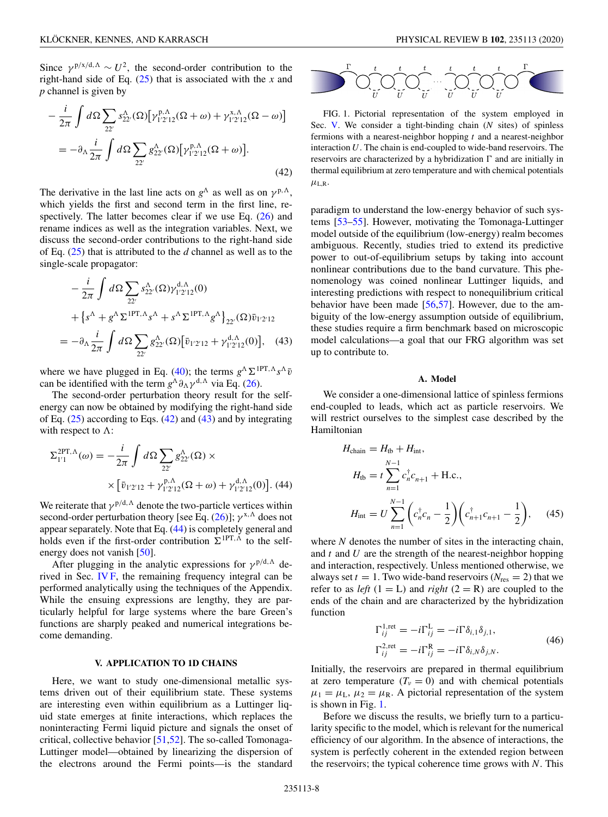<span id="page-7-0"></span>Since  $\gamma^{p/x/d,\Lambda} \sim U^2$ , the second-order contribution to the right-hand side of Eq. [\(25\)](#page-4-0) that is associated with the *x* and *p* channel is given by

$$
-\frac{i}{2\pi} \int d\Omega \sum_{22'} s_{22'}^{\Lambda}(\Omega) \left[ \gamma_{1'2'12}^{\mathbf{p},\Lambda}(\Omega+\omega) + \gamma_{1'2'12}^{\mathbf{x},\Lambda}(\Omega-\omega) \right]
$$

$$
= -\partial_{\Lambda} \frac{i}{2\pi} \int d\Omega \sum_{22'} g_{22'}^{\Lambda}(\Omega) \left[ \gamma_{1'2'12}^{\mathbf{p},\Lambda}(\Omega+\omega) \right].
$$
(42)

The derivative in the last line acts on  $g^{\Lambda}$  as well as on  $\gamma^{p,\Lambda}$ , which yields the first and second term in the first line, respectively. The latter becomes clear if we use Eq.  $(26)$  and rename indices as well as the integration variables. Next, we discuss the second-order contributions to the right-hand side of Eq. [\(25\)](#page-4-0) that is attributed to the *d* channel as well as to the single-scale propagator:

$$
-\frac{i}{2\pi} \int d\Omega \sum_{22'} s_{22'}^{\Lambda}(\Omega) \gamma_{1'2'12}^{d,\Lambda}(0)
$$
  
+  $\left\{ s^{\Lambda} + g^{\Lambda} \Sigma^{1PT,\Lambda} s^{\Lambda} + s^{\Lambda} \Sigma^{1PT,\Lambda} g^{\Lambda} \right\}_{22'}(\Omega) \bar{v}_{1'2'12}$   
=  $-\partial_{\Lambda} \frac{i}{2\pi} \int d\Omega \sum_{22'} g_{22'}^{\Lambda}(\Omega) [\bar{v}_{1'2'12} + \gamma_{1'2'12}^{d,\Lambda}(0)],$  (43)

where we have plugged in Eq. [\(40\)](#page-6-0); the terms  $g^{\Lambda} \Sigma^{1PT, \Lambda} s^{\Lambda} \bar{v}$ can be identified with the term  $g^{\Lambda} \partial_{\Lambda} \gamma^{d,\Lambda}$  via Eq. [\(26\)](#page-4-0).

The second-order perturbation theory result for the selfenergy can now be obtained by modifying the right-hand side of Eq.  $(25)$  according to Eqs.  $(42)$  and  $(43)$  and by integrating with respect to  $\Lambda$ :

$$
\Sigma_{1'1}^{2PT,\Lambda}(\omega) = -\frac{i}{2\pi} \int d\Omega \sum_{22'} g_{22'}^{\Lambda}(\Omega) \times
$$

$$
\times \left[ \bar{v}_{1'2'12} + \gamma_{1'2'12}^{\mathbf{p},\Lambda}(\Omega + \omega) + \gamma_{1'2'12}^{\mathbf{d},\Lambda}(\Omega) \right]. (44)
$$

We reiterate that  $\gamma^{p/d,\Lambda}$  denote the two-particle vertices within second-order perturbation theory [see Eq. [\(26\)](#page-4-0)];  $\gamma^{x,\Lambda}$  does not appear separately. Note that Eq. (44) is completely general and holds even if the first-order contribution  $\sum_{i} P T_i \Lambda_i$  to the self-energy does not vanish [\[50\]](#page-13-0).

After plugging in the analytic expressions for  $\gamma^{p/d,\Lambda}$  derived in Sec. [IV F,](#page-5-0) the remaining frequency integral can be performed analytically using the techniques of the Appendix. While the ensuing expressions are lengthy, they are particularly helpful for large systems where the bare Green's functions are sharply peaked and numerical integrations become demanding.

# **V. APPLICATION TO 1D CHAINS**

Here, we want to study one-dimensional metallic systems driven out of their equilibrium state. These systems are interesting even within equilibrium as a Luttinger liquid state emerges at finite interactions, which replaces the noninteracting Fermi liquid picture and signals the onset of critical, collective behavior [\[51,52\]](#page-13-0). The so-called Tomonaga-Luttinger model—obtained by linearizing the dispersion of the electrons around the Fermi points—is the standard



FIG. 1. Pictorial representation of the system employed in Sec. V. We consider a tight-binding chain (*N* sites) of spinless fermions with a nearest-neighbor hopping *t* and a nearest-neighbor interaction *U*. The chain is end-coupled to wide-band reservoirs. The reservoirs are characterized by a hybridization  $\Gamma$  and are initially in thermal equilibrium at zero temperature and with chemical potentials  $\mu_{L,R}$ .

paradigm to understand the low-energy behavior of such systems [\[53–55\]](#page-13-0). However, motivating the Tomonaga-Luttinger model outside of the equilibrium (low-energy) realm becomes ambiguous. Recently, studies tried to extend its predictive power to out-of-equilibrium setups by taking into account nonlinear contributions due to the band curvature. This phenomenology was coined nonlinear Luttinger liquids, and interesting predictions with respect to nonequilibrium critical behavior have been made  $[56,57]$ . However, due to the ambiguity of the low-energy assumption outside of equilibrium, these studies require a firm benchmark based on microscopic model calculations—a goal that our FRG algorithm was set up to contribute to.

# **A. Model**

We consider a one-dimensional lattice of spinless fermions end-coupled to leads, which act as particle reservoirs. We will restrict ourselves to the simplest case described by the Hamiltonian

$$
H_{\text{chain}} = H_{\text{tb}} + H_{\text{int}},
$$
  
\n
$$
H_{\text{tb}} = t \sum_{n=1}^{N-1} c_n^{\dagger} c_{n+1} + \text{H.c.},
$$
  
\n
$$
H_{\text{int}} = U \sum_{n=1}^{N-1} \left( c_n^{\dagger} c_n - \frac{1}{2} \right) \left( c_{n+1}^{\dagger} c_{n+1} - \frac{1}{2} \right), \quad (45)
$$

where *N* denotes the number of sites in the interacting chain, and *t* and *U* are the strength of the nearest-neighbor hopping and interaction, respectively. Unless mentioned otherwise, we always set  $t = 1$ . Two wide-band reservoirs ( $N_{res} = 2$ ) that we refer to as *left*  $(1 = L)$  and *right*  $(2 = R)$  are coupled to the ends of the chain and are characterized by the hybridization function

$$
\Gamma_{ij}^{1,\text{ret}} = -i\Gamma_{ij}^{L} = -i\Gamma \delta_{i,1} \delta_{j,1},
$$
  
\n
$$
\Gamma_{ij}^{2,\text{ret}} = -i\Gamma_{ij}^{R} = -i\Gamma \delta_{i,N} \delta_{j,N}.
$$
\n(46)

Initially, the reservoirs are prepared in thermal equilibrium at zero temperature  $(T_v = 0)$  and with chemical potentials  $\mu_1 = \mu_L$ ,  $\mu_2 = \mu_R$ . A pictorial representation of the system is shown in Fig. 1.

Before we discuss the results, we briefly turn to a particularity specific to the model, which is relevant for the numerical efficiency of our algorithm. In the absence of interactions, the system is perfectly coherent in the extended region between the reservoirs; the typical coherence time grows with *N*. This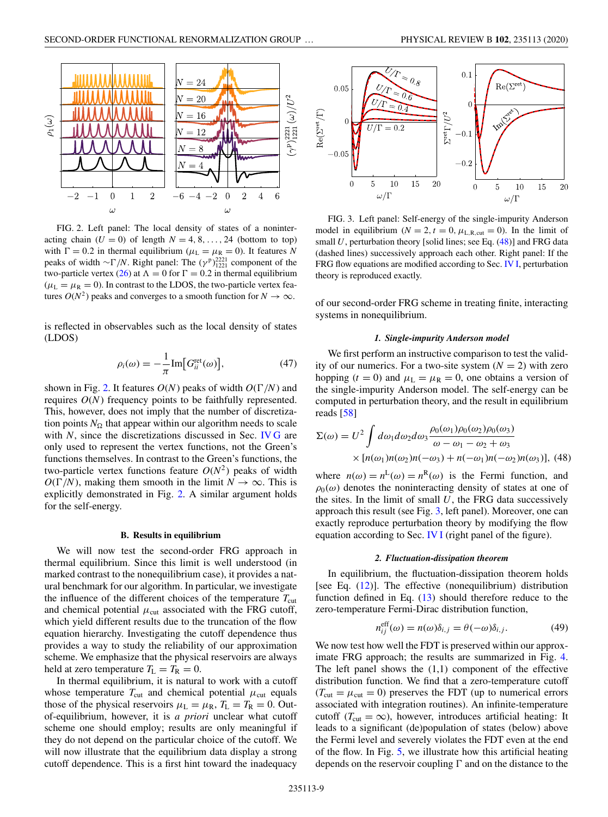<span id="page-8-0"></span>

FIG. 2. Left panel: The local density of states of a noninteracting chain  $(U = 0)$  of length  $N = 4, 8, \ldots, 24$  (bottom to top) with  $\Gamma = 0.2$  in thermal equilibrium ( $\mu_L = \mu_R = 0$ ). It features N peaks of width  $\sim \Gamma/N$ . Right panel: The (γ<sup>p</sup>)<sup>2221</sup><sub>1221</sub> component of the two-particle vertex [\(26\)](#page-4-0) at  $\Lambda = 0$  for  $\Gamma = 0.2$  in thermal equilibrium  $(\mu_L = \mu_R = 0)$ . In contrast to the LDOS, the two-particle vertex features  $O(N^2)$  peaks and converges to a smooth function for  $N \to \infty$ .

is reflected in observables such as the local density of states (LDOS)

$$
\rho_i(\omega) = -\frac{1}{\pi} \text{Im} \big[ G_{ii}^{\text{ret}}(\omega) \big],\tag{47}
$$

shown in Fig. 2. It features  $O(N)$  peaks of width  $O(\Gamma/N)$  and requires *O*(*N*) frequency points to be faithfully represented. This, however, does not imply that the number of discretization points  $N_{\Omega}$  that appear within our algorithm needs to scale with *N*, since the discretizations discussed in Sec. [IV G](#page-5-0) are only used to represent the vertex functions, not the Green's functions themselves. In contrast to the Green's functions, the two-particle vertex functions feature  $O(N^2)$  peaks of width  $O(\Gamma/N)$ , making them smooth in the limit  $N \to \infty$ . This is explicitly demonstrated in Fig. 2. A similar argument holds for the self-energy.

#### **B. Results in equilibrium**

We will now test the second-order FRG approach in thermal equilibrium. Since this limit is well understood (in marked contrast to the nonequilibrium case), it provides a natural benchmark for our algorithm. In particular, we investigate the influence of the different choices of the temperature  $T_{\text{cut}}$ and chemical potential  $\mu_{\text{cut}}$  associated with the FRG cutoff, which yield different results due to the truncation of the flow equation hierarchy. Investigating the cutoff dependence thus provides a way to study the reliability of our approximation scheme. We emphasize that the physical reservoirs are always held at zero temperature  $T_L = T_R = 0$ .

In thermal equilibrium, it is natural to work with a cutoff whose temperature  $T_{\text{cut}}$  and chemical potential  $\mu_{\text{cut}}$  equals those of the physical reservoirs  $\mu_L = \mu_R$ ,  $T_L = T_R = 0$ . Outof-equilibrium, however, it is *a priori* unclear what cutoff scheme one should employ; results are only meaningful if they do not depend on the particular choice of the cutoff. We will now illustrate that the equilibrium data display a strong cutoff dependence. This is a first hint toward the inadequacy



FIG. 3. Left panel: Self-energy of the single-impurity Anderson model in equilibrium ( $N = 2$ ,  $t = 0$ ,  $\mu_{L,R, cut} = 0$ ). In the limit of small  $U$ , perturbation theory [solid lines; see Eq.  $(48)$ ] and FRG data (dashed lines) successively approach each other. Right panel: If the FRG flow equations are modified according to Sec. [IV I,](#page-6-0) perturbation theory is reproduced exactly.

of our second-order FRG scheme in treating finite, interacting systems in nonequilibrium.

### *1. Single-impurity Anderson model*

We first perform an instructive comparison to test the validity of our numerics. For a two-site system  $(N = 2)$  with zero hopping  $(t = 0)$  and  $\mu_L = \mu_R = 0$ , one obtains a version of the single-impurity Anderson model. The self-energy can be computed in perturbation theory, and the result in equilibrium reads [\[58\]](#page-13-0)

$$
\Sigma(\omega) = U^2 \int d\omega_1 d\omega_2 d\omega_3 \frac{\rho_0(\omega_1)\rho_0(\omega_2)\rho_0(\omega_3)}{\omega - \omega_1 - \omega_2 + \omega_3}
$$

$$
\times [n(\omega_1)n(\omega_2)n(-\omega_3) + n(-\omega_1)n(-\omega_2)n(\omega_3)], \text{ (48)}
$$

where  $n(\omega) = n^L(\omega) = n^R(\omega)$  is the Fermi function, and  $\rho_0(\omega)$  denotes the noninteracting density of states at one of the sites. In the limit of small  $U$ , the FRG data successively approach this result (see Fig. 3, left panel). Moreover, one can exactly reproduce perturbation theory by modifying the flow equation according to Sec. [IV I](#page-6-0) (right panel of the figure).

### *2. Fluctuation-dissipation theorem*

In equilibrium, the fluctuation-dissipation theorem holds [see Eq. [\(12\)](#page-2-0)]. The effective (nonequilibrium) distribution function defined in Eq. [\(13\)](#page-2-0) should therefore reduce to the zero-temperature Fermi-Dirac distribution function,

$$
n_{ij}^{\text{eff}}(\omega) = n(\omega)\delta_{i,j} = \theta(-\omega)\delta_{i,j}.
$$
 (49)

We now test how well the FDT is preserved within our approximate FRG approach; the results are summarized in Fig. [4.](#page-9-0) The left panel shows the  $(1,1)$  component of the effective distribution function. We find that a zero-temperature cutoff  $(T_{\text{cut}} = \mu_{\text{cut}} = 0)$  preserves the FDT (up to numerical errors associated with integration routines). An infinite-temperature cutoff ( $T_{\text{cut}} = \infty$ ), however, introduces artificial heating: It leads to a significant (de)population of states (below) above the Fermi level and severely violates the FDT even at the end of the flow. In Fig. [5,](#page-9-0) we illustrate how this artificial heating depends on the reservoir coupling  $\Gamma$  and on the distance to the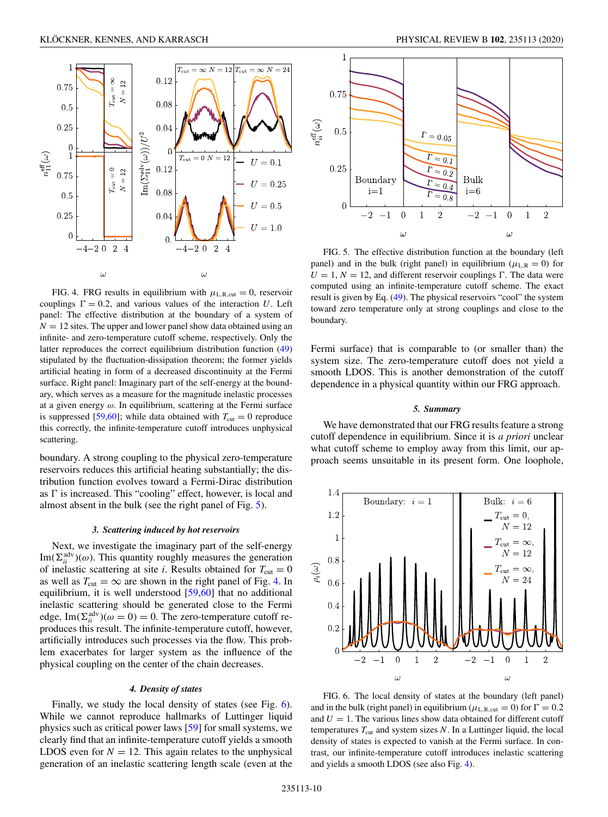<span id="page-9-0"></span>

FIG. 4. FRG results in equilibrium with  $\mu_{L,R,cut} = 0$ , reservoir couplings  $\Gamma = 0.2$ , and various values of the interaction *U*. Left panel: The effective distribution at the boundary of a system of  $N = 12$  sites. The upper and lower panel show data obtained using an infinite- and zero-temperature cutoff scheme, respectively. Only the latter reproduces the correct equilibrium distribution function [\(49\)](#page-8-0) stipulated by the fluctuation-dissipation theorem; the former yields artificial heating in form of a decreased discontinuity at the Fermi surface. Right panel: Imaginary part of the self-energy at the boundary, which serves as a measure for the magnitude inelastic processes at a given energy  $\omega$ . In equilibrium, scattering at the Fermi surface is suppressed [\[59,60\]](#page-13-0); while data obtained with  $T_{\text{cut}} = 0$  reproduce this correctly, the infinite-temperature cutoff introduces unphysical scattering.

boundary. A strong coupling to the physical zero-temperature reservoirs reduces this artificial heating substantially; the distribution function evolves toward a Fermi-Dirac distribution as  $\Gamma$  is increased. This "cooling" effect, however, is local and almost absent in the bulk (see the right panel of Fig. 5).

#### *3. Scattering induced by hot reservoirs*

Next, we investigate the imaginary part of the self-energy  $\text{Im}(\Sigma_{ii}^{\text{adv}})(\omega)$ . This quantity roughly measures the generation of inelastic scattering at site *i*. Results obtained for  $T_{\text{cut}} = 0$ as well as  $T_{\text{cut}} = \infty$  are shown in the right panel of Fig. 4. In equilibrium, it is well understood [\[59,60\]](#page-13-0) that no additional inelastic scattering should be generated close to the Fermi edge,  $\text{Im}(\Sigma_{ii}^{\text{adv}})(\omega = 0) = 0$ . The zero-temperature cutoff reproduces this result. The infinite-temperature cutoff, however, artificially introduces such processes via the flow. This problem exacerbates for larger system as the influence of the physical coupling on the center of the chain decreases.

### *4. Density of states*

Finally, we study the local density of states (see Fig. 6). While we cannot reproduce hallmarks of Luttinger liquid physics such as critical power laws [\[59\]](#page-13-0) for small systems, we clearly find that an infinite-temperature cutoff yields a smooth LDOS even for  $N = 12$ . This again relates to the unphysical generation of an inelastic scattering length scale (even at the



FIG. 5. The effective distribution function at the boundary (left panel) and in the bulk (right panel) in equilibrium ( $\mu_{L,R} = 0$ ) for  $U = 1, N = 12$ , and different reservoir couplings  $\Gamma$ . The data were computed using an infinite-temperature cutoff scheme. The exact result is given by Eq. [\(49\)](#page-8-0). The physical reservoirs "cool" the system toward zero temperature only at strong couplings and close to the boundary.

Fermi surface) that is comparable to (or smaller than) the system size. The zero-temperature cutoff does not yield a smooth LDOS. This is another demonstration of the cutoff dependence in a physical quantity within our FRG approach.

# *5. Summary*

We have demonstrated that our FRG results feature a strong cutoff dependence in equilibrium. Since it is *a priori* unclear what cutoff scheme to employ away from this limit, our approach seems unsuitable in its present form. One loophole,



FIG. 6. The local density of states at the boundary (left panel) and in the bulk (right panel) in equilibrium ( $\mu_{\text{L,R,cut}} = 0$ ) for  $\Gamma = 0.2$ and  $U = 1$ . The various lines show data obtained for different cutoff temperatures  $T_{\text{cut}}$  and system sizes  $N$ . In a Luttinger liquid, the local density of states is expected to vanish at the Fermi surface. In contrast, our infinite-temperature cutoff introduces inelastic scattering and yields a smooth LDOS (see also Fig. 4).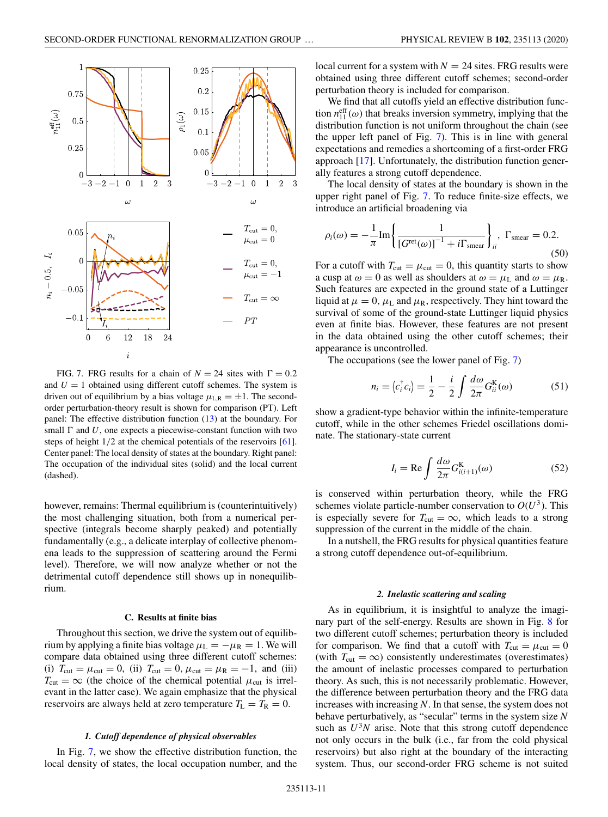<span id="page-10-0"></span>

FIG. 7. FRG results for a chain of  $N = 24$  sites with  $\Gamma = 0.2$ and  $U = 1$  obtained using different cutoff schemes. The system is driven out of equilibrium by a bias voltage  $\mu_{L,R} = \pm 1$ . The secondorder perturbation-theory result is shown for comparison (PT). Left panel: The effective distribution function [\(13\)](#page-2-0) at the boundary. For small  $\Gamma$  and  $U$ , one expects a piecewise-constant function with two steps of height 1/2 at the chemical potentials of the reservoirs [\[61\]](#page-13-0). Center panel: The local density of states at the boundary. Right panel: The occupation of the individual sites (solid) and the local current (dashed).

however, remains: Thermal equilibrium is (counterintuitively) the most challenging situation, both from a numerical perspective (integrals become sharply peaked) and potentially fundamentally (e.g., a delicate interplay of collective phenomena leads to the suppression of scattering around the Fermi level). Therefore, we will now analyze whether or not the detrimental cutoff dependence still shows up in nonequilibrium.

#### **C. Results at finite bias**

Throughout this section, we drive the system out of equilibrium by applying a finite bias voltage  $\mu_L = -\mu_R = 1$ . We will compare data obtained using three different cutoff schemes: (i)  $T_{\text{cut}} = \mu_{\text{cut}} = 0$ , (ii)  $T_{\text{cut}} = 0$ ,  $\mu_{\text{cut}} = \mu_R = -1$ , and (iii)  $T_{\text{cut}} = \infty$  (the choice of the chemical potential  $\mu_{\text{cut}}$  is irrelevant in the latter case). We again emphasize that the physical reservoirs are always held at zero temperature  $T_L = T_R = 0$ .

### *1. Cutoff dependence of physical observables*

In Fig. 7, we show the effective distribution function, the local density of states, the local occupation number, and the local current for a system with  $N = 24$  sites. FRG results were obtained using three different cutoff schemes; second-order perturbation theory is included for comparison.

We find that all cutoffs yield an effective distribution function  $n_{11}^{\text{eff}}(\omega)$  that breaks inversion symmetry, implying that the distribution function is not uniform throughout the chain (see the upper left panel of Fig. 7). This is in line with general expectations and remedies a shortcoming of a first-order FRG approach [\[17\]](#page-12-0). Unfortunately, the distribution function generally features a strong cutoff dependence.

The local density of states at the boundary is shown in the upper right panel of Fig. 7. To reduce finite-size effects, we introduce an artificial broadening via

$$
\rho_i(\omega) = -\frac{1}{\pi} \text{Im} \left\{ \frac{1}{\left[G^{\text{ret}}(\omega)\right]^{-1} + i\Gamma_{\text{smear}}} \right\}_i, \ \Gamma_{\text{smear}} = 0.2. \tag{50}
$$

For a cutoff with  $T_{\text{cut}} = \mu_{\text{cut}} = 0$ , this quantity starts to show a cusp at  $\omega = 0$  as well as shoulders at  $\omega = \mu_L$  and  $\omega = \mu_R$ . Such features are expected in the ground state of a Luttinger liquid at  $\mu = 0$ ,  $\mu$ <sub>L</sub> and  $\mu$ <sub>R</sub>, respectively. They hint toward the survival of some of the ground-state Luttinger liquid physics even at finite bias. However, these features are not present in the data obtained using the other cutoff schemes; their appearance is uncontrolled.

The occupations (see the lower panel of Fig. 7)

$$
n_i = \langle c_i^{\dagger} c_i \rangle = \frac{1}{2} - \frac{i}{2} \int \frac{d\omega}{2\pi} G_{ii}^{\mathrm{K}}(\omega) \tag{51}
$$

show a gradient-type behavior within the infinite-temperature cutoff, while in the other schemes Friedel oscillations dominate. The stationary-state current

$$
I_i = \text{Re} \int \frac{d\omega}{2\pi} G_{i(i+1)}^{\text{K}}(\omega) \tag{52}
$$

is conserved within perturbation theory, while the FRG schemes violate particle-number conservation to  $O(U^3)$ . This is especially severe for  $T_{\text{cut}} = \infty$ , which leads to a strong suppression of the current in the middle of the chain.

In a nutshell, the FRG results for physical quantities feature a strong cutoff dependence out-of-equilibrium.

### *2. Inelastic scattering and scaling*

As in equilibrium, it is insightful to analyze the imaginary part of the self-energy. Results are shown in Fig. [8](#page-11-0) for two different cutoff schemes; perturbation theory is included for comparison. We find that a cutoff with  $T_{\text{cut}} = \mu_{\text{cut}} = 0$ (with  $T_{\text{cut}} = \infty$ ) consistently underestimates (overestimates) the amount of inelastic processes compared to perturbation theory. As such, this is not necessarily problematic. However, the difference between perturbation theory and the FRG data increases with increasing *N*. In that sense, the system does not behave perturbatively, as "secular" terms in the system size *N* such as  $U^3N$  arise. Note that this strong cutoff dependence not only occurs in the bulk (i.e., far from the cold physical reservoirs) but also right at the boundary of the interacting system. Thus, our second-order FRG scheme is not suited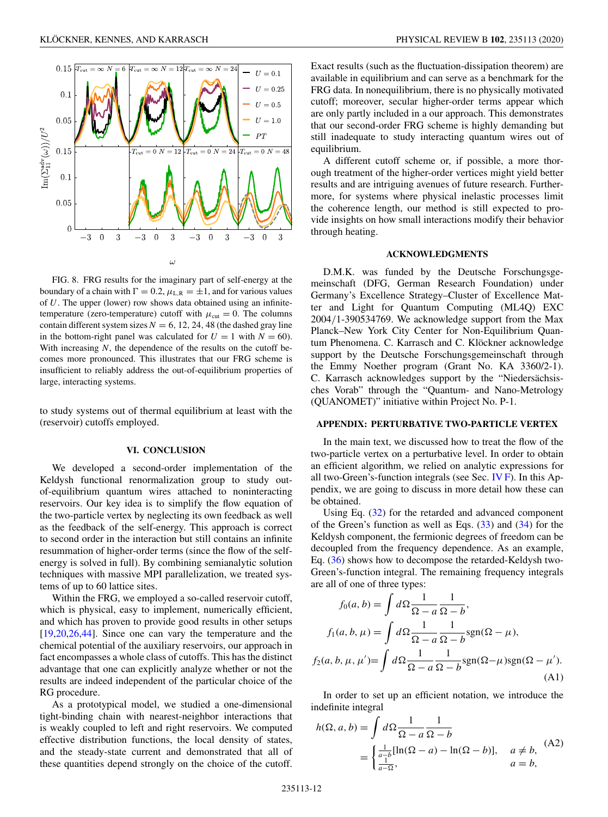<span id="page-11-0"></span>

FIG. 8. FRG results for the imaginary part of self-energy at the boundary of a chain with  $\Gamma = 0.2$ ,  $\mu_{LR} = \pm 1$ , and for various values of *U*. The upper (lower) row shows data obtained using an infinitetemperature (zero-temperature) cutoff with  $\mu_{\text{cut}} = 0$ . The columns contain different system sizes  $N = 6$ , 12, 24, 48 (the dashed gray line in the bottom-right panel was calculated for  $U = 1$  with  $N = 60$ ). With increasing *N*, the dependence of the results on the cutoff becomes more pronounced. This illustrates that our FRG scheme is insufficient to reliably address the out-of-equilibrium properties of large, interacting systems.

to study systems out of thermal equilibrium at least with the (reservoir) cutoffs employed.

### **VI. CONCLUSION**

We developed a second-order implementation of the Keldysh functional renormalization group to study outof-equilibrium quantum wires attached to noninteracting reservoirs. Our key idea is to simplify the flow equation of the two-particle vertex by neglecting its own feedback as well as the feedback of the self-energy. This approach is correct to second order in the interaction but still contains an infinite resummation of higher-order terms (since the flow of the selfenergy is solved in full). By combining semianalytic solution techniques with massive MPI parallelization, we treated systems of up to 60 lattice sites.

Within the FRG, we employed a so-called reservoir cutoff, which is physical, easy to implement, numerically efficient, and which has proven to provide good results in other setups [\[19,20,26,](#page-12-0)[44\]](#page-13-0). Since one can vary the temperature and the chemical potential of the auxiliary reservoirs, our approach in fact encompasses a whole class of cutoffs. This has the distinct advantage that one can explicitly analyze whether or not the results are indeed independent of the particular choice of the RG procedure.

As a prototypical model, we studied a one-dimensional tight-binding chain with nearest-neighbor interactions that is weakly coupled to left and right reservoirs. We computed effective distribution functions, the local density of states, and the steady-state current and demonstrated that all of these quantities depend strongly on the choice of the cutoff.

Exact results (such as the fluctuation-dissipation theorem) are available in equilibrium and can serve as a benchmark for the FRG data. In nonequilibrium, there is no physically motivated cutoff; moreover, secular higher-order terms appear which are only partly included in a our approach. This demonstrates that our second-order FRG scheme is highly demanding but still inadequate to study interacting quantum wires out of equilibrium.

A different cutoff scheme or, if possible, a more thorough treatment of the higher-order vertices might yield better results and are intriguing avenues of future research. Furthermore, for systems where physical inelastic processes limit the coherence length, our method is still expected to provide insights on how small interactions modify their behavior through heating.

# **ACKNOWLEDGMENTS**

D.M.K. was funded by the Deutsche Forschungsgemeinschaft (DFG, German Research Foundation) under Germany's Excellence Strategy–Cluster of Excellence Matter and Light for Quantum Computing (ML4Q) EXC 2004/1-390534769. We acknowledge support from the Max Planck–New York City Center for Non-Equilibrium Quantum Phenomena. C. Karrasch and C. Klöckner acknowledge support by the Deutsche Forschungsgemeinschaft through the Emmy Noether program (Grant No. KA 3360/2-1). C. Karrasch acknowledges support by the "Niedersächsisches Vorab" through the "Quantum- and Nano-Metrology (QUANOMET)" initiative within Project No. P-1.

# **APPENDIX: PERTURBATIVE TWO-PARTICLE VERTEX**

In the main text, we discussed how to treat the flow of the two-particle vertex on a perturbative level. In order to obtain an efficient algorithm, we relied on analytic expressions for all two-Green's-function integrals (see Sec. [IV F\)](#page-5-0). In this Appendix, we are going to discuss in more detail how these can be obtained.

Using Eq. [\(32\)](#page-5-0) for the retarded and advanced component of the Green's function as well as Eqs.  $(33)$  and  $(34)$  for the Keldysh component, the fermionic degrees of freedom can be decoupled from the frequency dependence. As an example, Eq. [\(36\)](#page-5-0) shows how to decompose the retarded-Keldysh two-Green's-function integral. The remaining frequency integrals are all of one of three types:

$$
f_0(a, b) = \int d\Omega \frac{1}{\Omega - a} \frac{1}{\Omega - b},
$$
  

$$
f_1(a, b, \mu) = \int d\Omega \frac{1}{\Omega - a} \frac{1}{\Omega - b} \text{sgn}(\Omega - \mu),
$$
  

$$
f_2(a, b, \mu, \mu') = \int d\Omega \frac{1}{\Omega - a} \frac{1}{\Omega - b} \text{sgn}(\Omega - \mu) \text{sgn}(\Omega - \mu').
$$
(A1)

In order to set up an efficient notation, we introduce the indefinite integral

$$
h(\Omega, a, b) = \int d\Omega \frac{1}{\Omega - a} \frac{1}{\Omega - b}
$$
  
= 
$$
\begin{cases} \frac{1}{a - b} [\ln(\Omega - a) - \ln(\Omega - b)], & a \neq b, \\ \frac{1}{a - \Omega}, & a = b, \end{cases}
$$
 (A2)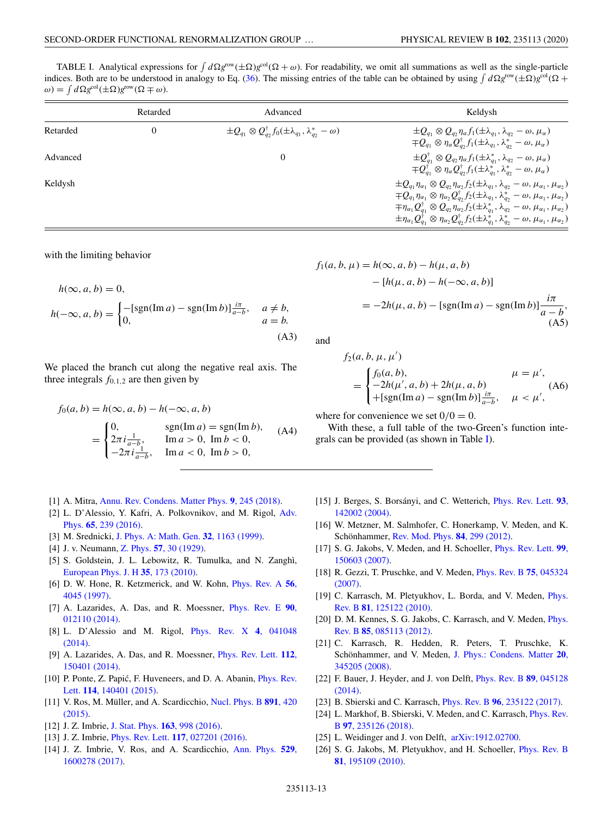<span id="page-12-0"></span>TABLE I. Analytical expressions for  $\int d\Omega g^{\text{row}}(\pm \Omega)g^{\text{col}}(\Omega + \omega)$ . For readability, we omit all summations as well as the single-particle indices. Both are to be understood in analogy to Eq. [\(36\)](#page-5-0). The missing entries of the table can be obtained by using  $\int d\Omega g^{\text{row}}(\pm \Omega)g^{\text{col}}(\Omega +$  $\omega$ ) =  $\int d\Omega g^{\text{col}}(\pm \Omega) g^{\text{row}}(\Omega \mp \omega)$ .

|          | Retarded | Advanced                                                                                 | Keldysh                                                                                                                                                                                                                                                                                                                                                                                                                                                                                                                                                                                          |
|----------|----------|------------------------------------------------------------------------------------------|--------------------------------------------------------------------------------------------------------------------------------------------------------------------------------------------------------------------------------------------------------------------------------------------------------------------------------------------------------------------------------------------------------------------------------------------------------------------------------------------------------------------------------------------------------------------------------------------------|
| Retarded |          | $\pm Q_{q_1} \otimes Q_{q_2}^{\dagger} f_0(\pm \lambda_{q_1}, \lambda_{q_2}^* - \omega)$ | $\pm Q_{q_1} \otimes Q_{q_2} \eta_\alpha f_1(\pm \lambda_{q_1}, \lambda_{q_2} - \omega, \mu_\alpha)$<br>$\mp Q_{q_1} \otimes \eta_\alpha Q_{q_2}^\dagger f_1(\pm \lambda_{q_1}, \lambda_{q_2}^* - \omega, \mu_\alpha)$                                                                                                                                                                                                                                                                                                                                                                           |
| Advanced |          | 0                                                                                        | $\pm Q^\dagger_{q_1}\otimes Q_{q_2}\eta_\alpha f_1(\pm\lambda_{q_1}^*,\lambda_{q_2}-\omega,\mu_\alpha)$<br>$\mp Q_{q_1}^{\dagger} \otimes \eta_{\alpha} Q_{q_2}^{\dagger} f_1(\pm \lambda_{q_1}^*, \lambda_{q_2}^* - \omega, \mu_{\alpha})$                                                                                                                                                                                                                                                                                                                                                      |
| Keldysh  |          |                                                                                          | $\pm Q_{q_1}\eta_{\alpha_1}\otimes Q_{q_2}\eta_{\alpha_2}f_2(\pm\lambda_{q_1},\lambda_{q_2}-\omega,\mu_{\alpha_1},\mu_{\alpha_2})$<br>$\mp Q_{q_1}\eta_{\alpha_1}\otimes\eta_{\alpha_2}Q_{q_2}^{\dagger}f_2(\pm\lambda_{q_1},\lambda_{q_2}^*-\omega,\mu_{\alpha_1},\mu_{\alpha_2})$<br>$\mp\eta_{\alpha_1}Q_{q_1}^{\dagger}\otimes Q_{q_2}\eta_{\alpha_2}f_2(\pm\lambda_{q_1}^*,\lambda_{q_2}-\omega,\mu_{\alpha_1},\mu_{\alpha_2})$<br>$\pm\eta_{\alpha_1}Q_{q_1}^{\dagger}\otimes\eta_{\alpha_2}Q_{q_2}^{\dagger}f_2(\pm\lambda_{q_1}^*,\lambda_{q_2}^*-\omega,\mu_{\alpha_1},\mu_{\alpha_2})$ |

with the limiting behavior

$$
h(\infty, a, b) = 0,
$$
  

$$
h(-\infty, a, b) = \begin{cases} -[\text{sgn}(\text{Im } a) - \text{sgn}(\text{Im } b)] \frac{i\pi}{a - b}, & a \neq b, \\ 0, & a = b. \end{cases}
$$
 (A3)

We placed the branch cut along the negative real axis. The three integrals  $f_{0,1,2}$  are then given by

$$
f_0(a, b) = h(\infty, a, b) - h(-\infty, a, b)
$$
  
= 
$$
\begin{cases} 0, & \text{sgn}(\text{Im } a) = \text{sgn}(\text{Im } b), \\ 2\pi i \frac{1}{a - b}, & \text{Im } a > 0, \text{ Im } b < 0, \\ -2\pi i \frac{1}{a - b}, & \text{Im } a < 0, \text{ Im } b > 0, \end{cases}
$$
 (A4)

- [1] A. Mitra, [Annu. Rev. Condens. Matter Phys.](https://doi.org/10.1146/annurev-conmatphys-031016-025451) **9**, 245 (2018).
- [2] [L. D'Alessio, Y. Kafri, A. Polkovnikov, and M. Rigol,](https://doi.org/10.1080/00018732.2016.1198134) Adv. Phys. **65**, 239 (2016).
- [3] M. Srednicki, [J. Phys. A: Math. Gen.](https://doi.org/10.1088/0305-4470/32/7/007) **32**, 1163 (1999).
- [4] J. v. Neumann, Z. Phys. **57**[, 30 \(1929\).](https://doi.org/10.1007/BF01339852)
- [5] S. Goldstein, J. L. Lebowitz, R. Tumulka, and N. Zanghì, [European Phys. J. H](https://doi.org/10.1140/epjh/e2010-00007-7) **35**, 173 (2010).
- [6] [D. W. Hone, R. Ketzmerick, and W. Kohn,](https://doi.org/10.1103/PhysRevA.56.4045) Phys. Rev. A **56**, 4045 (1997).
- [7] [A. Lazarides, A. Das, and R. Moessner,](https://doi.org/10.1103/PhysRevE.90.012110) Phys. Rev. E **90**, 012110 (2014).
- [8] [L. D'Alessio and M. Rigol,](https://doi.org/10.1103/PhysRevX.4.041048) Phys. Rev. X **4**, 041048 (2014).
- [9] [A. Lazarides, A. Das, and R. Moessner,](https://doi.org/10.1103/PhysRevLett.112.150401) Phys. Rev. Lett. **112**, 150401 (2014).
- [10] P. Ponte, Z. Papić, F. Huveneers, and D. A. Abanin, *Phys. Rev.* Lett. **114**, 140401 (2015).
- [11] [V. Ros, M. Müller, and A. Scardicchio,](https://doi.org/10.1016/j.nuclphysb.2014.12.014) Nucl. Phys. B **891**, 420 (2015).
- [12] J. Z. Imbrie, [J. Stat. Phys.](https://doi.org/10.1007/s10955-016-1508-x) **163**, 998 (2016).
- [13] J. Z. Imbrie, Phys. Rev. Lett. **117**[, 027201 \(2016\).](https://doi.org/10.1103/PhysRevLett.117.027201)
- [14] [J. Z. Imbrie, V. Ros, and A. Scardicchio,](https://doi.org/10.1002/andp.201600278) Ann. Phys. **529**, 1600278 (2017).

$$
f_1(a, b, \mu) = h(\infty, a, b) - h(\mu, a, b)
$$
  
- [h( $\mu$ , a, b) - h( $-\infty$ , a, b)]  
= -2h( $\mu$ , a, b) - [sgn(Im a) - sgn(Im b)] $\frac{i\pi}{a - b}$ ,  
(A5)

and

$$
f_2(a, b, \mu, \mu')
$$
  
= 
$$
\begin{cases} f_0(a, b), & \mu = \mu', \\ -2h(\mu', a, b) + 2h(\mu, a, b) \\ +[\text{sgn}(\text{Im } a) - \text{sgn}(\text{Im } b)]\frac{i\pi}{a - b}, & \mu < \mu', \end{cases}
$$
 (A6)

where for convenience we set  $0/0 = 0$ .

With these, a full table of the two-Green's function integrals can be provided (as shown in Table I).

- [15] [J. Berges, S. Borsányi, and C. Wetterich,](https://doi.org/10.1103/PhysRevLett.93.142002) Phys. Rev. Lett. **93**, 142002 (2004).
- [16] W. Metzner, M. Salmhofer, C. Honerkamp, V. Meden, and K. Schönhammer, [Rev. Mod. Phys.](https://doi.org/10.1103/RevModPhys.84.299) **84**, 299 (2012).
- [17] [S. G. Jakobs, V. Meden, and H. Schoeller,](https://doi.org/10.1103/PhysRevLett.99.150603) Phys. Rev. Lett. **99**, 150603 (2007).
- [18] [R. Gezzi, T. Pruschke, and V. Meden,](https://doi.org/10.1103/PhysRevB.75.045324) Phys. Rev. B **75**, 045324 (2007).
- [19] [C. Karrasch, M. Pletyukhov, L. Borda, and V. Meden,](https://doi.org/10.1103/PhysRevB.81.125122) *Phys.* Rev. B **81**, 125122 (2010).
- [20] [D. M. Kennes, S. G. Jakobs, C. Karrasch, and V. Meden,](https://doi.org/10.1103/PhysRevB.85.085113) *Phys.* Rev. B **85**, 085113 (2012).
- [21] C. Karrasch, R. Hedden, R. Peters, T. Pruschke, K. [Schönhammer, and V. Meden,](https://doi.org/10.1088/0953-8984/20/34/345205) J. Phys.: Condens. Matter **20**, 345205 (2008).
- [22] [F. Bauer, J. Heyder, and J. von Delft,](https://doi.org/10.1103/PhysRevB.89.045128) Phys. Rev. B **89**, 045128 (2014).
- [23] B. Sbierski and C. Karrasch, Phys. Rev. B **96**[, 235122 \(2017\).](https://doi.org/10.1103/PhysRevB.96.235122)
- [24] [L. Markhof, B. Sbierski, V. Meden, and C. Karrasch,](https://doi.org/10.1103/PhysRevB.97.235126) Phys. Rev. B **97**, 235126 (2018).
- [25] L. Weidinger and J. von Delft,  $arXiv:1912.02700$ .
- [26] [S. G. Jakobs, M. Pletyukhov, and H. Schoeller,](https://doi.org/10.1103/PhysRevB.81.195109) Phys. Rev. B **81**, 195109 (2010).